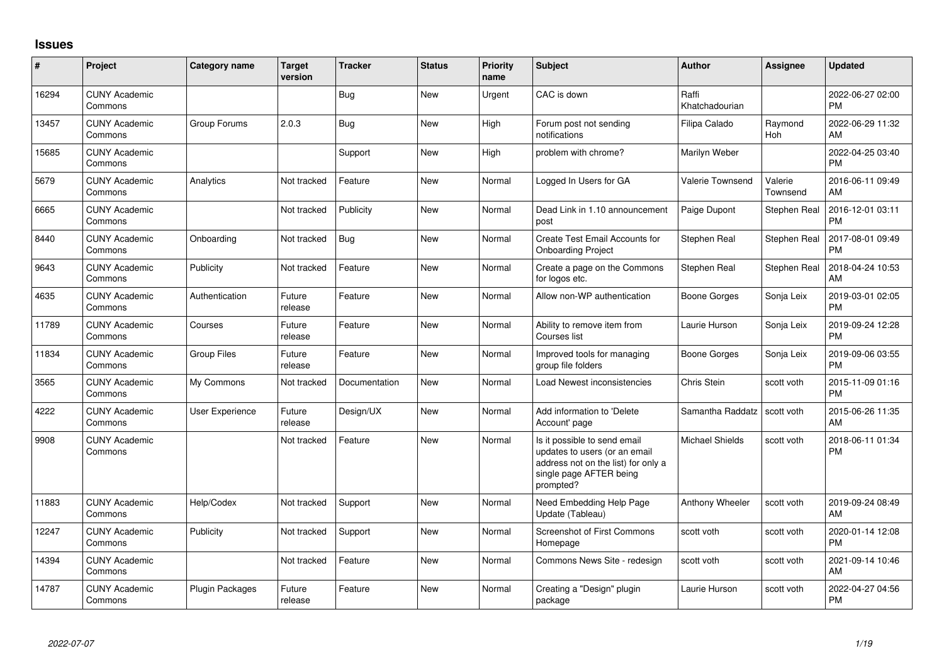## **Issues**

| #     | Project                         | <b>Category name</b> | <b>Target</b><br>version | <b>Tracker</b> | <b>Status</b> | Priority<br>name | <b>Subject</b>                                                                                                                               | <b>Author</b>           | <b>Assignee</b>     | <b>Updated</b>                |
|-------|---------------------------------|----------------------|--------------------------|----------------|---------------|------------------|----------------------------------------------------------------------------------------------------------------------------------------------|-------------------------|---------------------|-------------------------------|
| 16294 | <b>CUNY Academic</b><br>Commons |                      |                          | <b>Bug</b>     | New           | Urgent           | CAC is down                                                                                                                                  | Raffi<br>Khatchadourian |                     | 2022-06-27 02:00<br><b>PM</b> |
| 13457 | <b>CUNY Academic</b><br>Commons | Group Forums         | 2.0.3                    | Bug            | <b>New</b>    | High             | Forum post not sending<br>notifications                                                                                                      | Filipa Calado           | Raymond<br>Hoh      | 2022-06-29 11:32<br>AM        |
| 15685 | <b>CUNY Academic</b><br>Commons |                      |                          | Support        | New           | High             | problem with chrome?                                                                                                                         | Marilyn Weber           |                     | 2022-04-25 03:40<br><b>PM</b> |
| 5679  | <b>CUNY Academic</b><br>Commons | Analytics            | Not tracked              | Feature        | New           | Normal           | Logged In Users for GA                                                                                                                       | <b>Valerie Townsend</b> | Valerie<br>Townsend | 2016-06-11 09:49<br>AM        |
| 6665  | <b>CUNY Academic</b><br>Commons |                      | Not tracked              | Publicity      | <b>New</b>    | Normal           | Dead Link in 1.10 announcement<br>post                                                                                                       | Paige Dupont            | Stephen Real        | 2016-12-01 03:11<br><b>PM</b> |
| 8440  | <b>CUNY Academic</b><br>Commons | Onboarding           | Not tracked              | <b>Bug</b>     | New           | Normal           | Create Test Email Accounts for<br><b>Onboarding Project</b>                                                                                  | Stephen Real            | Stephen Real        | 2017-08-01 09:49<br><b>PM</b> |
| 9643  | <b>CUNY Academic</b><br>Commons | Publicity            | Not tracked              | Feature        | <b>New</b>    | Normal           | Create a page on the Commons<br>for logos etc.                                                                                               | Stephen Real            | Stephen Real        | 2018-04-24 10:53<br>AM        |
| 4635  | <b>CUNY Academic</b><br>Commons | Authentication       | Future<br>release        | Feature        | <b>New</b>    | Normal           | Allow non-WP authentication                                                                                                                  | Boone Gorges            | Sonja Leix          | 2019-03-01 02:05<br><b>PM</b> |
| 11789 | <b>CUNY Academic</b><br>Commons | Courses              | Future<br>release        | Feature        | New           | Normal           | Ability to remove item from<br>Courses list                                                                                                  | Laurie Hurson           | Sonja Leix          | 2019-09-24 12:28<br><b>PM</b> |
| 11834 | <b>CUNY Academic</b><br>Commons | <b>Group Files</b>   | Future<br>release        | Feature        | <b>New</b>    | Normal           | Improved tools for managing<br>group file folders                                                                                            | Boone Gorges            | Sonja Leix          | 2019-09-06 03:55<br><b>PM</b> |
| 3565  | <b>CUNY Academic</b><br>Commons | My Commons           | Not tracked              | Documentation  | <b>New</b>    | Normal           | Load Newest inconsistencies                                                                                                                  | <b>Chris Stein</b>      | scott voth          | 2015-11-09 01:16<br><b>PM</b> |
| 4222  | <b>CUNY Academic</b><br>Commons | User Experience      | Future<br>release        | Design/UX      | New           | Normal           | Add information to 'Delete<br>Account' page                                                                                                  | Samantha Raddatz        | scott voth          | 2015-06-26 11:35<br>AM        |
| 9908  | <b>CUNY Academic</b><br>Commons |                      | Not tracked              | Feature        | <b>New</b>    | Normal           | Is it possible to send email<br>updates to users (or an email<br>address not on the list) for only a<br>single page AFTER being<br>prompted? | Michael Shields         | scott voth          | 2018-06-11 01:34<br><b>PM</b> |
| 11883 | <b>CUNY Academic</b><br>Commons | Help/Codex           | Not tracked              | Support        | New           | Normal           | Need Embedding Help Page<br>Update (Tableau)                                                                                                 | Anthony Wheeler         | scott voth          | 2019-09-24 08:49<br>AM        |
| 12247 | <b>CUNY Academic</b><br>Commons | Publicity            | Not tracked              | Support        | <b>New</b>    | Normal           | Screenshot of First Commons<br>Homepage                                                                                                      | scott voth              | scott voth          | 2020-01-14 12:08<br><b>PM</b> |
| 14394 | <b>CUNY Academic</b><br>Commons |                      | Not tracked              | Feature        | <b>New</b>    | Normal           | Commons News Site - redesign                                                                                                                 | scott voth              | scott voth          | 2021-09-14 10:46<br>AM        |
| 14787 | <b>CUNY Academic</b><br>Commons | Plugin Packages      | Future<br>release        | Feature        | <b>New</b>    | Normal           | Creating a "Design" plugin<br>package                                                                                                        | Laurie Hurson           | scott voth          | 2022-04-27 04:56<br><b>PM</b> |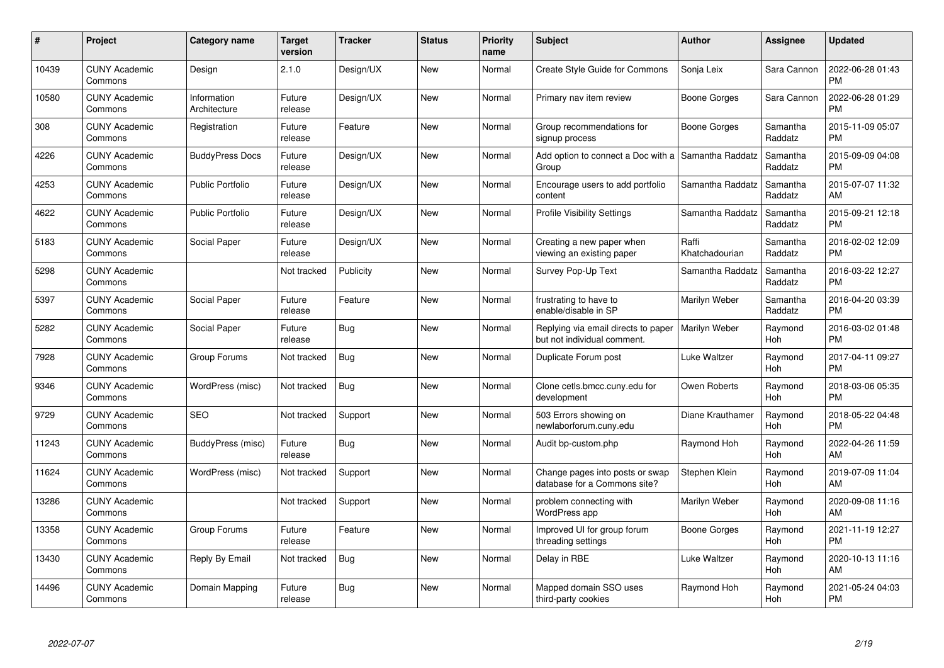| $\#$  | Project                         | <b>Category name</b>        | <b>Target</b><br>version | <b>Tracker</b> | <b>Status</b> | <b>Priority</b><br>name | <b>Subject</b>                                                     | <b>Author</b>           | <b>Assignee</b>     | <b>Updated</b>                |
|-------|---------------------------------|-----------------------------|--------------------------|----------------|---------------|-------------------------|--------------------------------------------------------------------|-------------------------|---------------------|-------------------------------|
| 10439 | <b>CUNY Academic</b><br>Commons | Design                      | 2.1.0                    | Design/UX      | <b>New</b>    | Normal                  | <b>Create Style Guide for Commons</b>                              | Sonja Leix              | Sara Cannon         | 2022-06-28 01:43<br><b>PM</b> |
| 10580 | <b>CUNY Academic</b><br>Commons | Information<br>Architecture | Future<br>release        | Design/UX      | <b>New</b>    | Normal                  | Primary nav item review                                            | Boone Gorges            | Sara Cannon         | 2022-06-28 01:29<br><b>PM</b> |
| 308   | <b>CUNY Academic</b><br>Commons | Registration                | Future<br>release        | Feature        | <b>New</b>    | Normal                  | Group recommendations for<br>signup process                        | Boone Gorges            | Samantha<br>Raddatz | 2015-11-09 05:07<br><b>PM</b> |
| 4226  | <b>CUNY Academic</b><br>Commons | <b>BuddyPress Docs</b>      | Future<br>release        | Design/UX      | <b>New</b>    | Normal                  | Add option to connect a Doc with a<br>Group                        | Samantha Raddatz        | Samantha<br>Raddatz | 2015-09-09 04:08<br><b>PM</b> |
| 4253  | <b>CUNY Academic</b><br>Commons | Public Portfolio            | Future<br>release        | Design/UX      | <b>New</b>    | Normal                  | Encourage users to add portfolio<br>content                        | Samantha Raddatz        | Samantha<br>Raddatz | 2015-07-07 11:32<br>AM        |
| 4622  | <b>CUNY Academic</b><br>Commons | <b>Public Portfolio</b>     | Future<br>release        | Design/UX      | <b>New</b>    | Normal                  | <b>Profile Visibility Settings</b>                                 | Samantha Raddatz        | Samantha<br>Raddatz | 2015-09-21 12:18<br><b>PM</b> |
| 5183  | <b>CUNY Academic</b><br>Commons | <b>Social Paper</b>         | Future<br>release        | Design/UX      | <b>New</b>    | Normal                  | Creating a new paper when<br>viewing an existing paper             | Raffi<br>Khatchadourian | Samantha<br>Raddatz | 2016-02-02 12:09<br><b>PM</b> |
| 5298  | <b>CUNY Academic</b><br>Commons |                             | Not tracked              | Publicity      | <b>New</b>    | Normal                  | Survey Pop-Up Text                                                 | Samantha Raddatz        | Samantha<br>Raddatz | 2016-03-22 12:27<br><b>PM</b> |
| 5397  | <b>CUNY Academic</b><br>Commons | Social Paper                | Future<br>release        | Feature        | <b>New</b>    | Normal                  | frustrating to have to<br>enable/disable in SP                     | Marilyn Weber           | Samantha<br>Raddatz | 2016-04-20 03:39<br><b>PM</b> |
| 5282  | <b>CUNY Academic</b><br>Commons | Social Paper                | Future<br>release        | Bug            | <b>New</b>    | Normal                  | Replying via email directs to paper<br>but not individual comment. | Marilyn Weber           | Raymond<br>Hoh      | 2016-03-02 01:48<br><b>PM</b> |
| 7928  | <b>CUNY Academic</b><br>Commons | Group Forums                | Not tracked              | <b>Bug</b>     | <b>New</b>    | Normal                  | Duplicate Forum post                                               | Luke Waltzer            | Raymond<br>Hoh      | 2017-04-11 09:27<br><b>PM</b> |
| 9346  | <b>CUNY Academic</b><br>Commons | WordPress (misc)            | Not tracked              | Bug            | <b>New</b>    | Normal                  | Clone cetls.bmcc.cuny.edu for<br>development                       | Owen Roberts            | Raymond<br>Hoh      | 2018-03-06 05:35<br><b>PM</b> |
| 9729  | <b>CUNY Academic</b><br>Commons | <b>SEO</b>                  | Not tracked              | Support        | New           | Normal                  | 503 Errors showing on<br>newlaborforum.cuny.edu                    | Diane Krauthamer        | Raymond<br>Hoh      | 2018-05-22 04:48<br><b>PM</b> |
| 11243 | <b>CUNY Academic</b><br>Commons | BuddyPress (misc)           | Future<br>release        | <b>Bug</b>     | <b>New</b>    | Normal                  | Audit bp-custom.php                                                | Raymond Hoh             | Raymond<br>Hoh      | 2022-04-26 11:59<br>AM        |
| 11624 | <b>CUNY Academic</b><br>Commons | WordPress (misc)            | Not tracked              | Support        | New           | Normal                  | Change pages into posts or swap<br>database for a Commons site?    | Stephen Klein           | Raymond<br>Hoh      | 2019-07-09 11:04<br>AM        |
| 13286 | <b>CUNY Academic</b><br>Commons |                             | Not tracked              | Support        | New           | Normal                  | problem connecting with<br>WordPress app                           | Marilyn Weber           | Raymond<br>Hoh      | 2020-09-08 11:16<br>AM        |
| 13358 | <b>CUNY Academic</b><br>Commons | Group Forums                | Future<br>release        | Feature        | New           | Normal                  | Improved UI for group forum<br>threading settings                  | Boone Gorges            | Raymond<br>Hoh      | 2021-11-19 12:27<br><b>PM</b> |
| 13430 | <b>CUNY Academic</b><br>Commons | Reply By Email              | Not tracked              | Bug            | New           | Normal                  | Delay in RBE                                                       | Luke Waltzer            | Raymond<br>Hoh      | 2020-10-13 11:16<br>AM        |
| 14496 | <b>CUNY Academic</b><br>Commons | Domain Mapping              | Future<br>release        | Bug            | <b>New</b>    | Normal                  | Mapped domain SSO uses<br>third-party cookies                      | Raymond Hoh             | Raymond<br>Hoh      | 2021-05-24 04:03<br><b>PM</b> |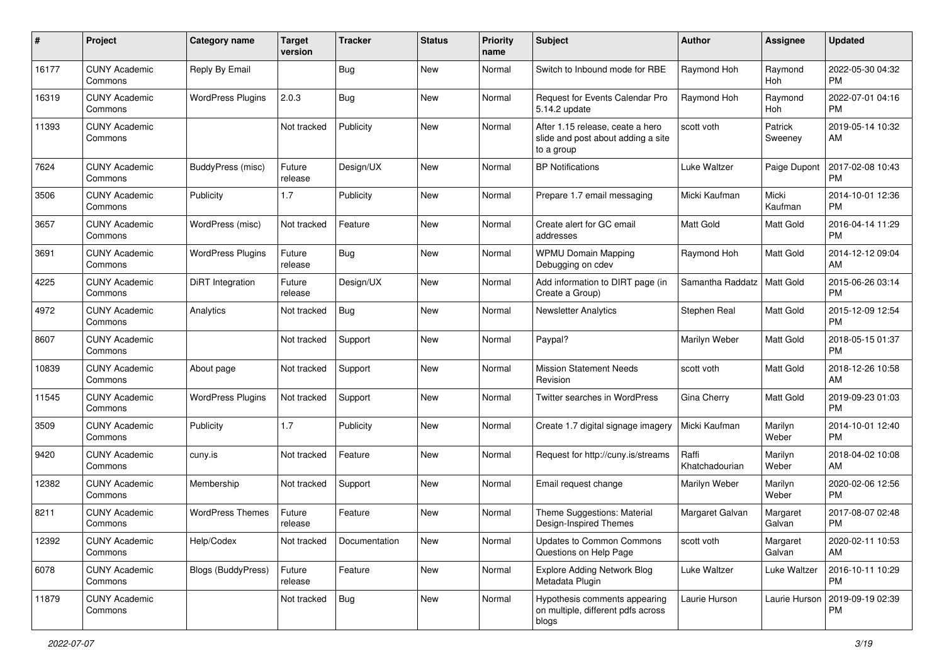| #     | Project                         | <b>Category name</b>      | <b>Target</b><br>version | <b>Tracker</b> | <b>Status</b> | <b>Priority</b><br>name | <b>Subject</b>                                                                       | Author                  | <b>Assignee</b>    | <b>Updated</b>                |
|-------|---------------------------------|---------------------------|--------------------------|----------------|---------------|-------------------------|--------------------------------------------------------------------------------------|-------------------------|--------------------|-------------------------------|
| 16177 | <b>CUNY Academic</b><br>Commons | Reply By Email            |                          | Bug            | New           | Normal                  | Switch to Inbound mode for RBE                                                       | Raymond Hoh             | Raymond<br>Hoh     | 2022-05-30 04:32<br>PM        |
| 16319 | <b>CUNY Academic</b><br>Commons | <b>WordPress Plugins</b>  | 2.0.3                    | <b>Bug</b>     | <b>New</b>    | Normal                  | Request for Events Calendar Pro<br>5.14.2 update                                     | Raymond Hoh             | Raymond<br>Hoh     | 2022-07-01 04:16<br><b>PM</b> |
| 11393 | <b>CUNY Academic</b><br>Commons |                           | Not tracked              | Publicity      | <b>New</b>    | Normal                  | After 1.15 release, ceate a hero<br>slide and post about adding a site<br>to a group | scott voth              | Patrick<br>Sweeney | 2019-05-14 10:32<br>AM        |
| 7624  | <b>CUNY Academic</b><br>Commons | BuddyPress (misc)         | Future<br>release        | Design/UX      | <b>New</b>    | Normal                  | <b>BP Notifications</b>                                                              | Luke Waltzer            | Paige Dupont       | 2017-02-08 10:43<br><b>PM</b> |
| 3506  | <b>CUNY Academic</b><br>Commons | Publicity                 | 1.7                      | Publicity      | New           | Normal                  | Prepare 1.7 email messaging                                                          | Micki Kaufman           | Micki<br>Kaufman   | 2014-10-01 12:36<br><b>PM</b> |
| 3657  | <b>CUNY Academic</b><br>Commons | WordPress (misc)          | Not tracked              | Feature        | <b>New</b>    | Normal                  | Create alert for GC email<br>addresses                                               | <b>Matt Gold</b>        | Matt Gold          | 2016-04-14 11:29<br><b>PM</b> |
| 3691  | <b>CUNY Academic</b><br>Commons | <b>WordPress Plugins</b>  | Future<br>release        | Bug            | <b>New</b>    | Normal                  | <b>WPMU Domain Mapping</b><br>Debugging on cdev                                      | Raymond Hoh             | Matt Gold          | 2014-12-12 09:04<br>AM        |
| 4225  | <b>CUNY Academic</b><br>Commons | <b>DiRT</b> Integration   | Future<br>release        | Design/UX      | New           | Normal                  | Add information to DIRT page (in<br>Create a Group)                                  | Samantha Raddatz        | Matt Gold          | 2015-06-26 03:14<br><b>PM</b> |
| 4972  | <b>CUNY Academic</b><br>Commons | Analytics                 | Not tracked              | <b>Bug</b>     | New           | Normal                  | <b>Newsletter Analytics</b>                                                          | Stephen Real            | Matt Gold          | 2015-12-09 12:54<br><b>PM</b> |
| 8607  | <b>CUNY Academic</b><br>Commons |                           | Not tracked              | Support        | <b>New</b>    | Normal                  | Paypal?                                                                              | Marilyn Weber           | Matt Gold          | 2018-05-15 01:37<br><b>PM</b> |
| 10839 | <b>CUNY Academic</b><br>Commons | About page                | Not tracked              | Support        | New           | Normal                  | <b>Mission Statement Needs</b><br>Revision                                           | scott voth              | Matt Gold          | 2018-12-26 10:58<br>AM        |
| 11545 | CUNY Academic<br>Commons        | <b>WordPress Plugins</b>  | Not tracked              | Support        | New           | Normal                  | Twitter searches in WordPress                                                        | Gina Cherry             | Matt Gold          | 2019-09-23 01:03<br><b>PM</b> |
| 3509  | <b>CUNY Academic</b><br>Commons | Publicity                 | 1.7                      | Publicity      | <b>New</b>    | Normal                  | Create 1.7 digital signage imagery                                                   | Micki Kaufman           | Marilyn<br>Weber   | 2014-10-01 12:40<br><b>PM</b> |
| 9420  | <b>CUNY Academic</b><br>Commons | cuny.is                   | Not tracked              | Feature        | <b>New</b>    | Normal                  | Request for http://cuny.is/streams                                                   | Raffi<br>Khatchadourian | Marilyn<br>Weber   | 2018-04-02 10:08<br>AM        |
| 12382 | <b>CUNY Academic</b><br>Commons | Membership                | Not tracked              | Support        | New           | Normal                  | Email request change                                                                 | Marilyn Weber           | Marilyn<br>Weber   | 2020-02-06 12:56<br><b>PM</b> |
| 8211  | <b>CUNY Academic</b><br>Commons | <b>WordPress Themes</b>   | Future<br>release        | Feature        | New           | Normal                  | Theme Suggestions: Material<br>Design-Inspired Themes                                | Margaret Galvan         | Margaret<br>Galvan | 2017-08-07 02:48<br><b>PM</b> |
| 12392 | <b>CUNY Academic</b><br>Commons | Help/Codex                | Not tracked              | Documentation  | New           | Normal                  | Updates to Common Commons<br>Questions on Help Page                                  | scott voth              | Margaret<br>Galvan | 2020-02-11 10:53<br>AM        |
| 6078  | <b>CUNY Academic</b><br>Commons | <b>Blogs (BuddyPress)</b> | Future<br>release        | Feature        | New           | Normal                  | <b>Explore Adding Network Blog</b><br>Metadata Plugin                                | Luke Waltzer            | Luke Waltzer       | 2016-10-11 10:29<br><b>PM</b> |
| 11879 | <b>CUNY Academic</b><br>Commons |                           | Not tracked              | Bug            | New           | Normal                  | Hypothesis comments appearing<br>on multiple, different pdfs across<br>blogs         | Laurie Hurson           | Laurie Hurson      | 2019-09-19 02:39<br><b>PM</b> |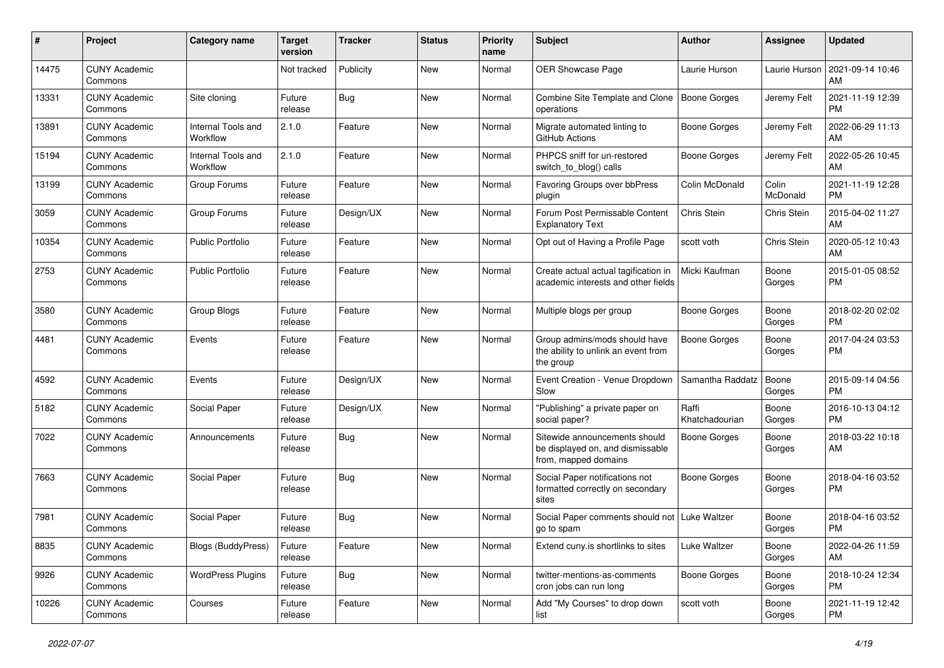| #     | Project                         | Category name                  | <b>Target</b><br>version | <b>Tracker</b> | <b>Status</b> | <b>Priority</b><br>name | <b>Subject</b>                                                                            | Author                  | <b>Assignee</b>   | <b>Updated</b>                |
|-------|---------------------------------|--------------------------------|--------------------------|----------------|---------------|-------------------------|-------------------------------------------------------------------------------------------|-------------------------|-------------------|-------------------------------|
| 14475 | <b>CUNY Academic</b><br>Commons |                                | Not tracked              | Publicity      | New           | Normal                  | OER Showcase Page                                                                         | Laurie Hurson           | Laurie Hurson     | 2021-09-14 10:46<br>AM        |
| 13331 | <b>CUNY Academic</b><br>Commons | Site cloning                   | Future<br>release        | Bug            | New           | Normal                  | Combine Site Template and Clone   Boone Gorges<br>operations                              |                         | Jeremy Felt       | 2021-11-19 12:39<br><b>PM</b> |
| 13891 | <b>CUNY Academic</b><br>Commons | Internal Tools and<br>Workflow | 2.1.0                    | Feature        | New           | Normal                  | Migrate automated linting to<br>GitHub Actions                                            | Boone Gorges            | Jeremy Felt       | 2022-06-29 11:13<br>AM        |
| 15194 | <b>CUNY Academic</b><br>Commons | Internal Tools and<br>Workflow | 2.1.0                    | Feature        | New           | Normal                  | PHPCS sniff for un-restored<br>switch_to_blog() calls                                     | <b>Boone Gorges</b>     | Jeremy Felt       | 2022-05-26 10:45<br>AM        |
| 13199 | <b>CUNY Academic</b><br>Commons | Group Forums                   | Future<br>release        | Feature        | New           | Normal                  | Favoring Groups over bbPress<br>plugin                                                    | Colin McDonald          | Colin<br>McDonald | 2021-11-19 12:28<br><b>PM</b> |
| 3059  | <b>CUNY Academic</b><br>Commons | Group Forums                   | Future<br>release        | Design/UX      | New           | Normal                  | Forum Post Permissable Content<br><b>Explanatory Text</b>                                 | Chris Stein             | Chris Stein       | 2015-04-02 11:27<br>AM        |
| 10354 | <b>CUNY Academic</b><br>Commons | Public Portfolio               | Future<br>release        | Feature        | New           | Normal                  | Opt out of Having a Profile Page                                                          | scott voth              | Chris Stein       | 2020-05-12 10:43<br>AM        |
| 2753  | <b>CUNY Academic</b><br>Commons | <b>Public Portfolio</b>        | Future<br>release        | Feature        | New           | Normal                  | Create actual actual tagification in<br>academic interests and other fields               | Micki Kaufman           | Boone<br>Gorges   | 2015-01-05 08:52<br><b>PM</b> |
| 3580  | <b>CUNY Academic</b><br>Commons | Group Blogs                    | Future<br>release        | Feature        | New           | Normal                  | Multiple blogs per group                                                                  | <b>Boone Gorges</b>     | Boone<br>Gorges   | 2018-02-20 02:02<br><b>PM</b> |
| 4481  | <b>CUNY Academic</b><br>Commons | Events                         | Future<br>release        | Feature        | New           | Normal                  | Group admins/mods should have<br>the ability to unlink an event from<br>the group         | <b>Boone Gorges</b>     | Boone<br>Gorges   | 2017-04-24 03:53<br><b>PM</b> |
| 4592  | <b>CUNY Academic</b><br>Commons | Events                         | Future<br>release        | Design/UX      | New           | Normal                  | Event Creation - Venue Dropdown<br>Slow                                                   | Samantha Raddatz        | Boone<br>Gorges   | 2015-09-14 04:56<br><b>PM</b> |
| 5182  | <b>CUNY Academic</b><br>Commons | Social Paper                   | Future<br>release        | Design/UX      | New           | Normal                  | "Publishing" a private paper on<br>social paper?                                          | Raffi<br>Khatchadourian | Boone<br>Gorges   | 2016-10-13 04:12<br><b>PM</b> |
| 7022  | <b>CUNY Academic</b><br>Commons | Announcements                  | Future<br>release        | Bug            | New           | Normal                  | Sitewide announcements should<br>be displayed on, and dismissable<br>from, mapped domains | <b>Boone Gorges</b>     | Boone<br>Gorges   | 2018-03-22 10:18<br>AM        |
| 7663  | <b>CUNY Academic</b><br>Commons | Social Paper                   | Future<br>release        | Bug            | New           | Normal                  | Social Paper notifications not<br>formatted correctly on secondary<br>sites               | <b>Boone Gorges</b>     | Boone<br>Gorges   | 2018-04-16 03:52<br><b>PM</b> |
| 7981  | <b>CUNY Academic</b><br>Commons | Social Paper                   | Future<br>release        | <b>Bug</b>     | New           | Normal                  | Social Paper comments should not   Luke Waltzer<br>go to spam                             |                         | Boone<br>Gorges   | 2018-04-16 03:52<br><b>PM</b> |
| 8835  | <b>CUNY Academic</b><br>Commons | <b>Blogs (BuddyPress)</b>      | Future<br>release        | Feature        | New           | Normal                  | Extend cuny.is shortlinks to sites                                                        | Luke Waltzer            | Boone<br>Gorges   | 2022-04-26 11:59<br>AM        |
| 9926  | <b>CUNY Academic</b><br>Commons | <b>WordPress Plugins</b>       | Future<br>release        | <b>Bug</b>     | New           | Normal                  | twitter-mentions-as-comments<br>cron jobs can run long                                    | <b>Boone Gorges</b>     | Boone<br>Gorges   | 2018-10-24 12:34<br><b>PM</b> |
| 10226 | <b>CUNY Academic</b><br>Commons | Courses                        | Future<br>release        | Feature        | New           | Normal                  | Add "My Courses" to drop down<br>list                                                     | scott voth              | Boone<br>Gorges   | 2021-11-19 12:42<br>PM        |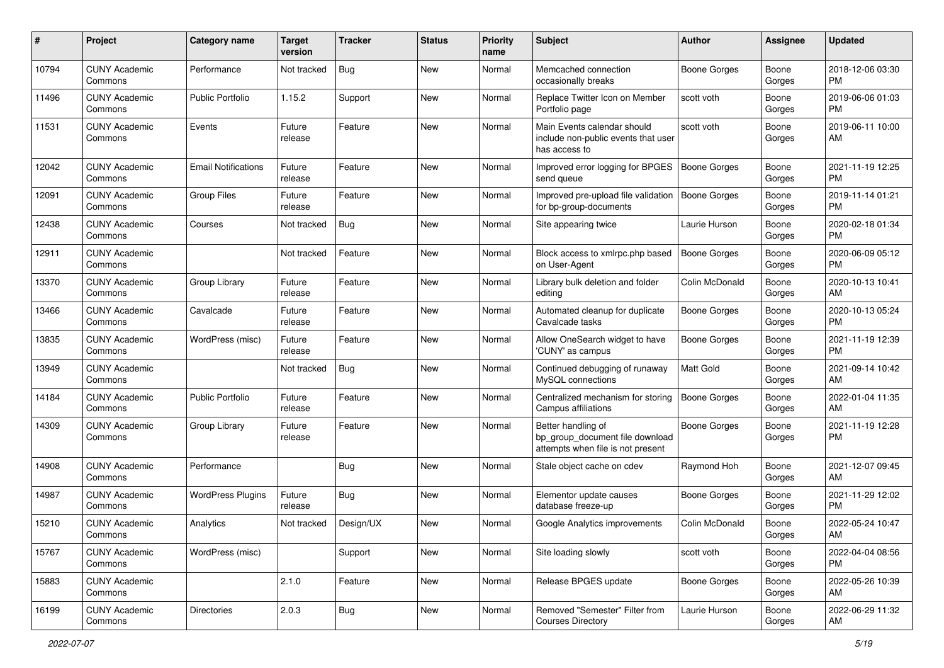| #     | Project                         | <b>Category name</b>       | <b>Target</b><br>version | <b>Tracker</b> | <b>Status</b> | <b>Priority</b><br>name | <b>Subject</b>                                                                             | Author              | <b>Assignee</b> | <b>Updated</b>                |
|-------|---------------------------------|----------------------------|--------------------------|----------------|---------------|-------------------------|--------------------------------------------------------------------------------------------|---------------------|-----------------|-------------------------------|
| 10794 | <b>CUNY Academic</b><br>Commons | Performance                | Not tracked              | <b>Bug</b>     | New           | Normal                  | Memcached connection<br>occasionally breaks                                                | Boone Gorges        | Boone<br>Gorges | 2018-12-06 03:30<br>PM        |
| 11496 | <b>CUNY Academic</b><br>Commons | <b>Public Portfolio</b>    | 1.15.2                   | Support        | New           | Normal                  | Replace Twitter Icon on Member<br>Portfolio page                                           | scott voth          | Boone<br>Gorges | 2019-06-06 01:03<br>PM        |
| 11531 | <b>CUNY Academic</b><br>Commons | Events                     | Future<br>release        | Feature        | New           | Normal                  | Main Events calendar should<br>include non-public events that user<br>has access to        | scott voth          | Boone<br>Gorges | 2019-06-11 10:00<br>AM        |
| 12042 | <b>CUNY Academic</b><br>Commons | <b>Email Notifications</b> | Future<br>release        | Feature        | New           | Normal                  | Improved error logging for BPGES<br>send queue                                             | <b>Boone Gorges</b> | Boone<br>Gorges | 2021-11-19 12:25<br>PM        |
| 12091 | <b>CUNY Academic</b><br>Commons | <b>Group Files</b>         | Future<br>release        | Feature        | New           | Normal                  | Improved pre-upload file validation<br>for bp-group-documents                              | Boone Gorges        | Boone<br>Gorges | 2019-11-14 01:21<br><b>PM</b> |
| 12438 | <b>CUNY Academic</b><br>Commons | Courses                    | Not tracked              | Bug            | New           | Normal                  | Site appearing twice                                                                       | Laurie Hurson       | Boone<br>Gorges | 2020-02-18 01:34<br>PM        |
| 12911 | <b>CUNY Academic</b><br>Commons |                            | Not tracked              | Feature        | New           | Normal                  | Block access to xmlrpc.php based<br>on User-Agent                                          | <b>Boone Gorges</b> | Boone<br>Gorges | 2020-06-09 05:12<br>PM        |
| 13370 | <b>CUNY Academic</b><br>Commons | Group Library              | Future<br>release        | Feature        | New           | Normal                  | Library bulk deletion and folder<br>editing                                                | Colin McDonald      | Boone<br>Gorges | 2020-10-13 10:41<br>AM        |
| 13466 | <b>CUNY Academic</b><br>Commons | Cavalcade                  | Future<br>release        | Feature        | New           | Normal                  | Automated cleanup for duplicate<br>Cavalcade tasks                                         | <b>Boone Gorges</b> | Boone<br>Gorges | 2020-10-13 05:24<br>PM        |
| 13835 | <b>CUNY Academic</b><br>Commons | WordPress (misc)           | Future<br>release        | Feature        | New           | Normal                  | Allow OneSearch widget to have<br>'CUNY' as campus                                         | <b>Boone Gorges</b> | Boone<br>Gorges | 2021-11-19 12:39<br>PM        |
| 13949 | <b>CUNY Academic</b><br>Commons |                            | Not tracked              | Bug            | New           | Normal                  | Continued debugging of runaway<br>MySQL connections                                        | Matt Gold           | Boone<br>Gorges | 2021-09-14 10:42<br>AM        |
| 14184 | <b>CUNY Academic</b><br>Commons | <b>Public Portfolio</b>    | Future<br>release        | Feature        | New           | Normal                  | Centralized mechanism for storing<br>Campus affiliations                                   | <b>Boone Gorges</b> | Boone<br>Gorges | 2022-01-04 11:35<br>AM        |
| 14309 | <b>CUNY Academic</b><br>Commons | Group Library              | Future<br>release        | Feature        | New           | Normal                  | Better handling of<br>bp_group_document file download<br>attempts when file is not present | Boone Gorges        | Boone<br>Gorges | 2021-11-19 12:28<br><b>PM</b> |
| 14908 | <b>CUNY Academic</b><br>Commons | Performance                |                          | <b>Bug</b>     | New           | Normal                  | Stale object cache on cdev                                                                 | Raymond Hoh         | Boone<br>Gorges | 2021-12-07 09:45<br>AM        |
| 14987 | <b>CUNY Academic</b><br>Commons | <b>WordPress Plugins</b>   | Future<br>release        | Bug            | New           | Normal                  | Elementor update causes<br>database freeze-up                                              | Boone Gorges        | Boone<br>Gorges | 2021-11-29 12:02<br>PM        |
| 15210 | <b>CUNY Academic</b><br>Commons | Analytics                  | Not tracked              | Design/UX      | New           | Normal                  | Google Analytics improvements                                                              | Colin McDonald      | Boone<br>Gorges | 2022-05-24 10:47<br>AM        |
| 15767 | <b>CUNY Academic</b><br>Commons | WordPress (misc)           |                          | Support        | New           | Normal                  | Site loading slowly                                                                        | scott voth          | Boone<br>Gorges | 2022-04-04 08:56<br>PM        |
| 15883 | <b>CUNY Academic</b><br>Commons |                            | 2.1.0                    | Feature        | New           | Normal                  | Release BPGES update                                                                       | Boone Gorges        | Boone<br>Gorges | 2022-05-26 10:39<br>AM        |
| 16199 | <b>CUNY Academic</b><br>Commons | <b>Directories</b>         | 2.0.3                    | <b>Bug</b>     | New           | Normal                  | Removed "Semester" Filter from<br><b>Courses Directory</b>                                 | Laurie Hurson       | Boone<br>Gorges | 2022-06-29 11:32<br>AM        |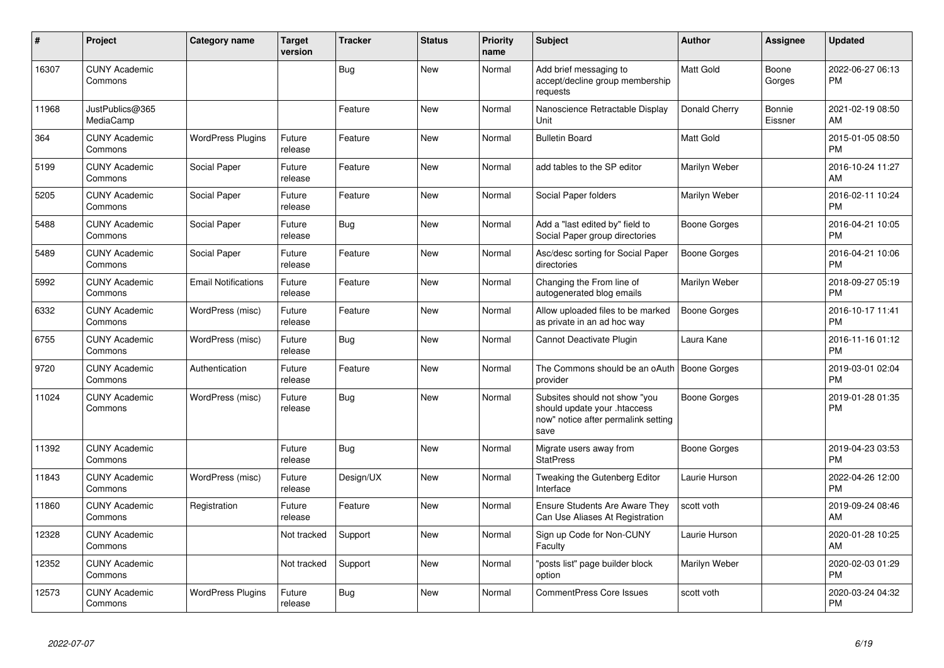| #     | Project                         | <b>Category name</b>       | <b>Target</b><br>version | <b>Tracker</b> | <b>Status</b> | <b>Priority</b><br>name | <b>Subject</b>                                                                                               | <b>Author</b>       | <b>Assignee</b>   | <b>Updated</b>                |
|-------|---------------------------------|----------------------------|--------------------------|----------------|---------------|-------------------------|--------------------------------------------------------------------------------------------------------------|---------------------|-------------------|-------------------------------|
| 16307 | <b>CUNY Academic</b><br>Commons |                            |                          | <b>Bug</b>     | New           | Normal                  | Add brief messaging to<br>accept/decline group membership<br>requests                                        | <b>Matt Gold</b>    | Boone<br>Gorges   | 2022-06-27 06:13<br><b>PM</b> |
| 11968 | JustPublics@365<br>MediaCamp    |                            |                          | Feature        | New           | Normal                  | Nanoscience Retractable Display<br>Unit                                                                      | Donald Cherry       | Bonnie<br>Eissner | 2021-02-19 08:50<br>AM        |
| 364   | <b>CUNY Academic</b><br>Commons | <b>WordPress Plugins</b>   | Future<br>release        | Feature        | New           | Normal                  | <b>Bulletin Board</b>                                                                                        | <b>Matt Gold</b>    |                   | 2015-01-05 08:50<br><b>PM</b> |
| 5199  | <b>CUNY Academic</b><br>Commons | Social Paper               | Future<br>release        | Feature        | <b>New</b>    | Normal                  | add tables to the SP editor                                                                                  | Marilyn Weber       |                   | 2016-10-24 11:27<br>AM        |
| 5205  | <b>CUNY Academic</b><br>Commons | Social Paper               | Future<br>release        | Feature        | <b>New</b>    | Normal                  | Social Paper folders                                                                                         | Marilyn Weber       |                   | 2016-02-11 10:24<br><b>PM</b> |
| 5488  | <b>CUNY Academic</b><br>Commons | Social Paper               | Future<br>release        | Bug            | <b>New</b>    | Normal                  | Add a "last edited by" field to<br>Social Paper group directories                                            | Boone Gorges        |                   | 2016-04-21 10:05<br><b>PM</b> |
| 5489  | <b>CUNY Academic</b><br>Commons | Social Paper               | Future<br>release        | Feature        | <b>New</b>    | Normal                  | Asc/desc sorting for Social Paper<br>directories                                                             | <b>Boone Gorges</b> |                   | 2016-04-21 10:06<br><b>PM</b> |
| 5992  | <b>CUNY Academic</b><br>Commons | <b>Email Notifications</b> | Future<br>release        | Feature        | New           | Normal                  | Changing the From line of<br>autogenerated blog emails                                                       | Marilyn Weber       |                   | 2018-09-27 05:19<br><b>PM</b> |
| 6332  | <b>CUNY Academic</b><br>Commons | WordPress (misc)           | Future<br>release        | Feature        | <b>New</b>    | Normal                  | Allow uploaded files to be marked<br>as private in an ad hoc way                                             | <b>Boone Gorges</b> |                   | 2016-10-17 11:41<br><b>PM</b> |
| 6755  | <b>CUNY Academic</b><br>Commons | WordPress (misc)           | Future<br>release        | Bug            | New           | Normal                  | Cannot Deactivate Plugin                                                                                     | Laura Kane          |                   | 2016-11-16 01:12<br><b>PM</b> |
| 9720  | <b>CUNY Academic</b><br>Commons | Authentication             | Future<br>release        | Feature        | <b>New</b>    | Normal                  | The Commons should be an oAuth   Boone Gorges<br>provider                                                    |                     |                   | 2019-03-01 02:04<br><b>PM</b> |
| 11024 | <b>CUNY Academic</b><br>Commons | WordPress (misc)           | Future<br>release        | <b>Bug</b>     | <b>New</b>    | Normal                  | Subsites should not show "you<br>should update your .htaccess<br>now" notice after permalink setting<br>save | Boone Gorges        |                   | 2019-01-28 01:35<br><b>PM</b> |
| 11392 | <b>CUNY Academic</b><br>Commons |                            | Future<br>release        | Bug            | New           | Normal                  | Migrate users away from<br><b>StatPress</b>                                                                  | Boone Gorges        |                   | 2019-04-23 03:53<br><b>PM</b> |
| 11843 | <b>CUNY Academic</b><br>Commons | WordPress (misc)           | Future<br>release        | Design/UX      | <b>New</b>    | Normal                  | Tweaking the Gutenberg Editor<br>Interface                                                                   | Laurie Hurson       |                   | 2022-04-26 12:00<br><b>PM</b> |
| 11860 | <b>CUNY Academic</b><br>Commons | Registration               | Future<br>release        | Feature        | <b>New</b>    | Normal                  | <b>Ensure Students Are Aware They</b><br>Can Use Aliases At Registration                                     | scott voth          |                   | 2019-09-24 08:46<br>AM        |
| 12328 | <b>CUNY Academic</b><br>Commons |                            | Not tracked              | Support        | <b>New</b>    | Normal                  | Sign up Code for Non-CUNY<br>Faculty                                                                         | Laurie Hurson       |                   | 2020-01-28 10:25<br>AM        |
| 12352 | <b>CUNY Academic</b><br>Commons |                            | Not tracked              | Support        | <b>New</b>    | Normal                  | "posts list" page builder block<br>option                                                                    | Marilyn Weber       |                   | 2020-02-03 01:29<br><b>PM</b> |
| 12573 | <b>CUNY Academic</b><br>Commons | <b>WordPress Plugins</b>   | Future<br>release        | Bug            | <b>New</b>    | Normal                  | <b>CommentPress Core Issues</b>                                                                              | scott voth          |                   | 2020-03-24 04:32<br>PM        |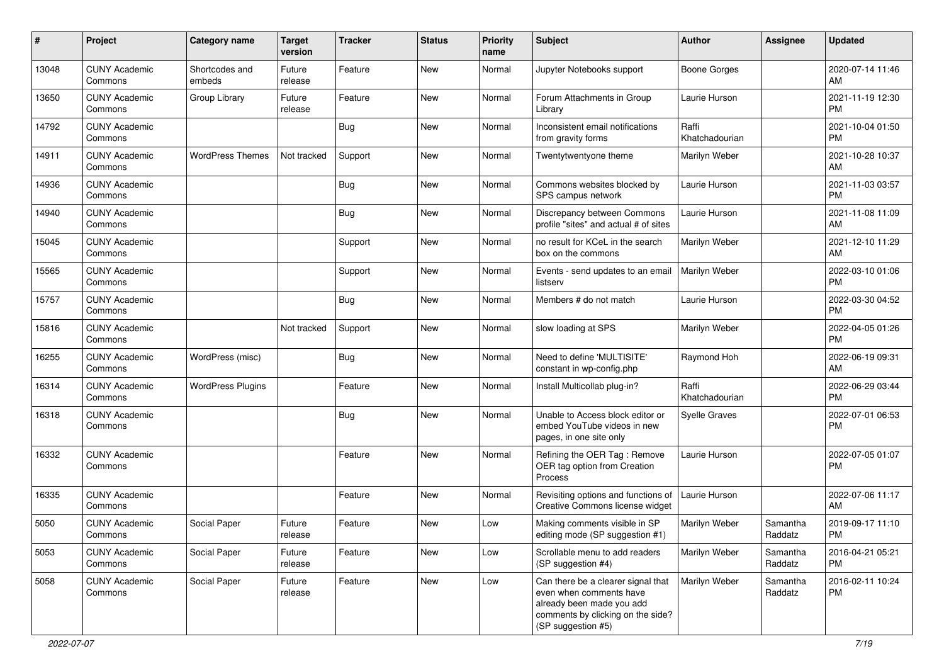| $\#$  | Project                         | <b>Category name</b>     | <b>Target</b><br>version | <b>Tracker</b> | <b>Status</b> | <b>Priority</b><br>name | <b>Subject</b>                                                                                                                                        | <b>Author</b>           | Assignee            | <b>Updated</b>                |
|-------|---------------------------------|--------------------------|--------------------------|----------------|---------------|-------------------------|-------------------------------------------------------------------------------------------------------------------------------------------------------|-------------------------|---------------------|-------------------------------|
| 13048 | <b>CUNY Academic</b><br>Commons | Shortcodes and<br>embeds | Future<br>release        | Feature        | New           | Normal                  | Jupyter Notebooks support                                                                                                                             | <b>Boone Gorges</b>     |                     | 2020-07-14 11:46<br>AM        |
| 13650 | <b>CUNY Academic</b><br>Commons | Group Library            | Future<br>release        | Feature        | New           | Normal                  | Forum Attachments in Group<br>Library                                                                                                                 | Laurie Hurson           |                     | 2021-11-19 12:30<br>PM        |
| 14792 | <b>CUNY Academic</b><br>Commons |                          |                          | Bug            | New           | Normal                  | Inconsistent email notifications<br>from gravity forms                                                                                                | Raffi<br>Khatchadourian |                     | 2021-10-04 01:50<br>PM        |
| 14911 | <b>CUNY Academic</b><br>Commons | <b>WordPress Themes</b>  | Not tracked              | Support        | New           | Normal                  | Twentytwentyone theme                                                                                                                                 | Marilyn Weber           |                     | 2021-10-28 10:37<br>AM        |
| 14936 | <b>CUNY Academic</b><br>Commons |                          |                          | <b>Bug</b>     | New           | Normal                  | Commons websites blocked by<br>SPS campus network                                                                                                     | Laurie Hurson           |                     | 2021-11-03 03:57<br>PM        |
| 14940 | <b>CUNY Academic</b><br>Commons |                          |                          | <b>Bug</b>     | New           | Normal                  | Discrepancy between Commons<br>profile "sites" and actual # of sites                                                                                  | Laurie Hurson           |                     | 2021-11-08 11:09<br>AM        |
| 15045 | <b>CUNY Academic</b><br>Commons |                          |                          | Support        | New           | Normal                  | no result for KCeL in the search<br>box on the commons                                                                                                | Marilyn Weber           |                     | 2021-12-10 11:29<br>AM        |
| 15565 | <b>CUNY Academic</b><br>Commons |                          |                          | Support        | New           | Normal                  | Events - send updates to an email<br>listserv                                                                                                         | Marilyn Weber           |                     | 2022-03-10 01:06<br>PM        |
| 15757 | <b>CUNY Academic</b><br>Commons |                          |                          | Bug            | New           | Normal                  | Members # do not match                                                                                                                                | Laurie Hurson           |                     | 2022-03-30 04:52<br>PM        |
| 15816 | <b>CUNY Academic</b><br>Commons |                          | Not tracked              | Support        | New           | Normal                  | slow loading at SPS                                                                                                                                   | Marilyn Weber           |                     | 2022-04-05 01:26<br>PM        |
| 16255 | <b>CUNY Academic</b><br>Commons | WordPress (misc)         |                          | Bug            | New           | Normal                  | Need to define 'MULTISITE'<br>constant in wp-config.php                                                                                               | Raymond Hoh             |                     | 2022-06-19 09:31<br>AM        |
| 16314 | <b>CUNY Academic</b><br>Commons | <b>WordPress Plugins</b> |                          | Feature        | New           | Normal                  | Install Multicollab plug-in?                                                                                                                          | Raffi<br>Khatchadourian |                     | 2022-06-29 03:44<br>PM        |
| 16318 | <b>CUNY Academic</b><br>Commons |                          |                          | <b>Bug</b>     | New           | Normal                  | Unable to Access block editor or<br>embed YouTube videos in new<br>pages, in one site only                                                            | <b>Syelle Graves</b>    |                     | 2022-07-01 06:53<br>PM        |
| 16332 | <b>CUNY Academic</b><br>Commons |                          |                          | Feature        | New           | Normal                  | Refining the OER Tag: Remove<br>OER tag option from Creation<br>Process                                                                               | Laurie Hurson           |                     | 2022-07-05 01:07<br>PM        |
| 16335 | <b>CUNY Academic</b><br>Commons |                          |                          | Feature        | New           | Normal                  | Revisiting options and functions of<br>Creative Commons license widget                                                                                | Laurie Hurson           |                     | 2022-07-06 11:17<br>AM        |
| 5050  | <b>CUNY Academic</b><br>Commons | Social Paper             | Future<br>release        | Feature        | New           | Low                     | Making comments visible in SP<br>editing mode (SP suggestion #1)                                                                                      | Marilyn Weber           | Samantha<br>Raddatz | 2019-09-17 11:10<br>PM        |
| 5053  | <b>CUNY Academic</b><br>Commons | Social Paper             | Future<br>release        | Feature        | New           | Low                     | Scrollable menu to add readers<br>(SP suggestion #4)                                                                                                  | Marilyn Weber           | Samantha<br>Raddatz | 2016-04-21 05:21<br><b>PM</b> |
| 5058  | <b>CUNY Academic</b><br>Commons | Social Paper             | Future<br>release        | Feature        | New           | Low                     | Can there be a clearer signal that<br>even when comments have<br>already been made you add<br>comments by clicking on the side?<br>(SP suggestion #5) | Marilyn Weber           | Samantha<br>Raddatz | 2016-02-11 10:24<br><b>PM</b> |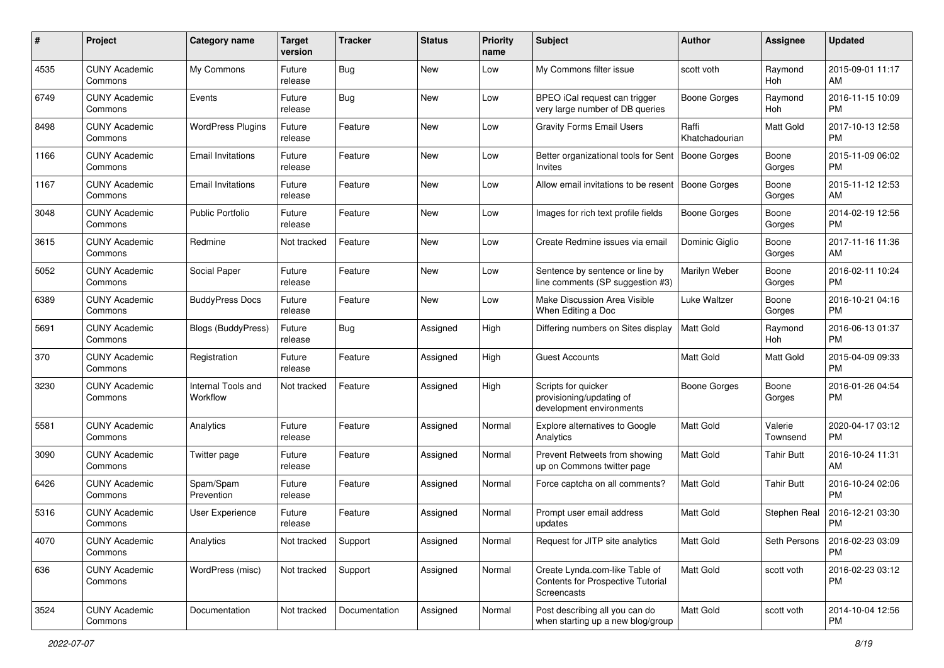| #    | Project                         | <b>Category name</b>           | <b>Target</b><br>version | <b>Tracker</b> | <b>Status</b> | <b>Priority</b><br>name | <b>Subject</b>                                                                     | Author                  | <b>Assignee</b>     | <b>Updated</b>                |
|------|---------------------------------|--------------------------------|--------------------------|----------------|---------------|-------------------------|------------------------------------------------------------------------------------|-------------------------|---------------------|-------------------------------|
| 4535 | <b>CUNY Academic</b><br>Commons | My Commons                     | Future<br>release        | <b>Bug</b>     | <b>New</b>    | Low                     | My Commons filter issue                                                            | scott voth              | Raymond<br>Hoh      | 2015-09-01 11:17<br>AM        |
| 6749 | <b>CUNY Academic</b><br>Commons | Events                         | Future<br>release        | <b>Bug</b>     | New           | Low                     | BPEO iCal request can trigger<br>very large number of DB queries                   | <b>Boone Gorges</b>     | Raymond<br>Hoh      | 2016-11-15 10:09<br><b>PM</b> |
| 8498 | <b>CUNY Academic</b><br>Commons | <b>WordPress Plugins</b>       | Future<br>release        | Feature        | New           | Low                     | <b>Gravity Forms Email Users</b>                                                   | Raffi<br>Khatchadourian | Matt Gold           | 2017-10-13 12:58<br><b>PM</b> |
| 1166 | <b>CUNY Academic</b><br>Commons | <b>Email Invitations</b>       | Future<br>release        | Feature        | New           | Low                     | Better organizational tools for Sent<br>Invites                                    | Boone Gorges            | Boone<br>Gorges     | 2015-11-09 06:02<br><b>PM</b> |
| 1167 | <b>CUNY Academic</b><br>Commons | <b>Email Invitations</b>       | Future<br>release        | Feature        | New           | Low                     | Allow email invitations to be resent                                               | Boone Gorges            | Boone<br>Gorges     | 2015-11-12 12:53<br>AM        |
| 3048 | <b>CUNY Academic</b><br>Commons | <b>Public Portfolio</b>        | Future<br>release        | Feature        | New           | Low                     | Images for rich text profile fields                                                | Boone Gorges            | Boone<br>Gorges     | 2014-02-19 12:56<br><b>PM</b> |
| 3615 | <b>CUNY Academic</b><br>Commons | Redmine                        | Not tracked              | Feature        | New           | Low                     | Create Redmine issues via email                                                    | Dominic Giglio          | Boone<br>Gorges     | 2017-11-16 11:36<br>AM        |
| 5052 | <b>CUNY Academic</b><br>Commons | Social Paper                   | Future<br>release        | Feature        | <b>New</b>    | Low                     | Sentence by sentence or line by<br>line comments (SP suggestion #3)                | Marilyn Weber           | Boone<br>Gorges     | 2016-02-11 10:24<br><b>PM</b> |
| 6389 | <b>CUNY Academic</b><br>Commons | <b>BuddyPress Docs</b>         | Future<br>release        | Feature        | New           | Low                     | Make Discussion Area Visible<br>When Editing a Doc                                 | Luke Waltzer            | Boone<br>Gorges     | 2016-10-21 04:16<br><b>PM</b> |
| 5691 | <b>CUNY Academic</b><br>Commons | Blogs (BuddyPress)             | Future<br>release        | <b>Bug</b>     | Assigned      | High                    | Differing numbers on Sites display                                                 | Matt Gold               | Raymond<br>Hoh      | 2016-06-13 01:37<br><b>PM</b> |
| 370  | <b>CUNY Academic</b><br>Commons | Registration                   | Future<br>release        | Feature        | Assigned      | High                    | Guest Accounts                                                                     | <b>Matt Gold</b>        | Matt Gold           | 2015-04-09 09:33<br><b>PM</b> |
| 3230 | <b>CUNY Academic</b><br>Commons | Internal Tools and<br>Workflow | Not tracked              | Feature        | Assigned      | High                    | Scripts for quicker<br>provisioning/updating of<br>development environments        | <b>Boone Gorges</b>     | Boone<br>Gorges     | 2016-01-26 04:54<br><b>PM</b> |
| 5581 | <b>CUNY Academic</b><br>Commons | Analytics                      | Future<br>release        | Feature        | Assigned      | Normal                  | Explore alternatives to Google<br>Analytics                                        | <b>Matt Gold</b>        | Valerie<br>Townsend | 2020-04-17 03:12<br><b>PM</b> |
| 3090 | <b>CUNY Academic</b><br>Commons | Twitter page                   | Future<br>release        | Feature        | Assigned      | Normal                  | Prevent Retweets from showing<br>up on Commons twitter page                        | <b>Matt Gold</b>        | Tahir Butt          | 2016-10-24 11:31<br>AM        |
| 6426 | <b>CUNY Academic</b><br>Commons | Spam/Spam<br>Prevention        | Future<br>release        | Feature        | Assigned      | Normal                  | Force captcha on all comments?                                                     | <b>Matt Gold</b>        | <b>Tahir Butt</b>   | 2016-10-24 02:06<br><b>PM</b> |
| 5316 | <b>CUNY Academic</b><br>Commons | User Experience                | Future<br>release        | Feature        | Assigned      | Normal                  | Prompt user email address<br>updates                                               | <b>Matt Gold</b>        | Stephen Real        | 2016-12-21 03:30<br><b>PM</b> |
| 4070 | <b>CUNY Academic</b><br>Commons | Analytics                      | Not tracked              | Support        | Assigned      | Normal                  | Request for JITP site analytics                                                    | Matt Gold               | Seth Persons        | 2016-02-23 03:09<br>PM        |
| 636  | <b>CUNY Academic</b><br>Commons | WordPress (misc)               | Not tracked              | Support        | Assigned      | Normal                  | Create Lynda.com-like Table of<br>Contents for Prospective Tutorial<br>Screencasts | Matt Gold               | scott voth          | 2016-02-23 03:12<br><b>PM</b> |
| 3524 | <b>CUNY Academic</b><br>Commons | Documentation                  | Not tracked              | Documentation  | Assigned      | Normal                  | Post describing all you can do<br>when starting up a new blog/group                | Matt Gold               | scott voth          | 2014-10-04 12:56<br><b>PM</b> |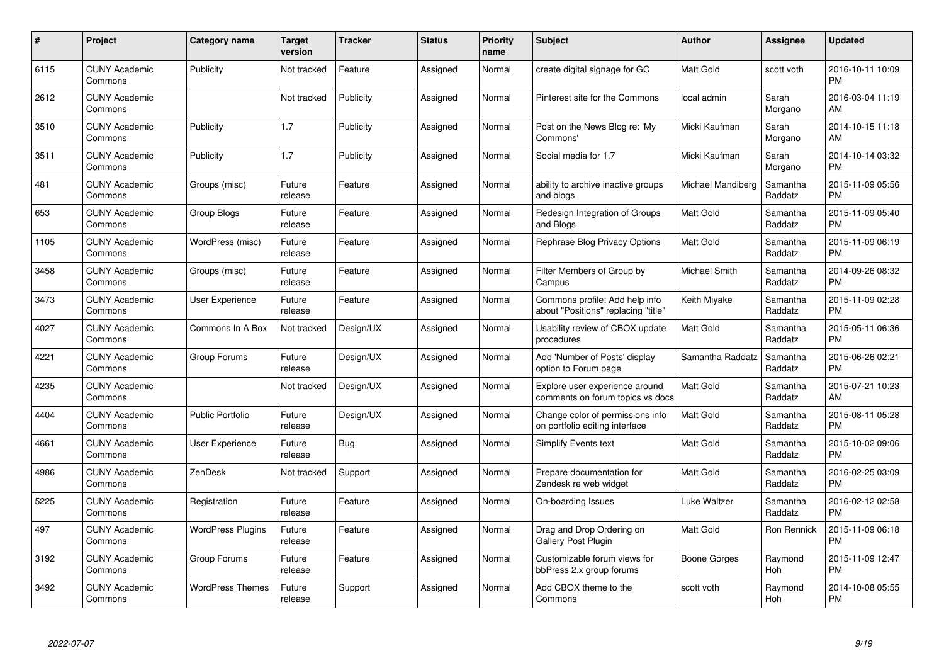| $\#$ | Project                         | <b>Category name</b>     | <b>Target</b><br>version | <b>Tracker</b> | <b>Status</b> | <b>Priority</b><br>name | <b>Subject</b>                                                        | <b>Author</b>        | <b>Assignee</b>     | <b>Updated</b>                |
|------|---------------------------------|--------------------------|--------------------------|----------------|---------------|-------------------------|-----------------------------------------------------------------------|----------------------|---------------------|-------------------------------|
| 6115 | <b>CUNY Academic</b><br>Commons | Publicity                | Not tracked              | Feature        | Assigned      | Normal                  | create digital signage for GC                                         | <b>Matt Gold</b>     | scott voth          | 2016-10-11 10:09<br><b>PM</b> |
| 2612 | <b>CUNY Academic</b><br>Commons |                          | Not tracked              | Publicity      | Assigned      | Normal                  | Pinterest site for the Commons                                        | local admin          | Sarah<br>Morgano    | 2016-03-04 11:19<br>AM        |
| 3510 | <b>CUNY Academic</b><br>Commons | Publicity                | 1.7                      | Publicity      | Assigned      | Normal                  | Post on the News Blog re: 'My<br>Commons'                             | Micki Kaufman        | Sarah<br>Morgano    | 2014-10-15 11:18<br>AM        |
| 3511 | <b>CUNY Academic</b><br>Commons | Publicity                | 1.7                      | Publicity      | Assigned      | Normal                  | Social media for 1.7                                                  | Micki Kaufman        | Sarah<br>Morgano    | 2014-10-14 03:32<br><b>PM</b> |
| 481  | <b>CUNY Academic</b><br>Commons | Groups (misc)            | Future<br>release        | Feature        | Assigned      | Normal                  | ability to archive inactive groups<br>and blogs                       | Michael Mandiberg    | Samantha<br>Raddatz | 2015-11-09 05:56<br><b>PM</b> |
| 653  | <b>CUNY Academic</b><br>Commons | Group Blogs              | Future<br>release        | Feature        | Assigned      | Normal                  | Redesign Integration of Groups<br>and Blogs                           | <b>Matt Gold</b>     | Samantha<br>Raddatz | 2015-11-09 05:40<br><b>PM</b> |
| 1105 | <b>CUNY Academic</b><br>Commons | WordPress (misc)         | Future<br>release        | Feature        | Assigned      | Normal                  | Rephrase Blog Privacy Options                                         | <b>Matt Gold</b>     | Samantha<br>Raddatz | 2015-11-09 06:19<br><b>PM</b> |
| 3458 | <b>CUNY Academic</b><br>Commons | Groups (misc)            | Future<br>release        | Feature        | Assigned      | Normal                  | Filter Members of Group by<br>Campus                                  | <b>Michael Smith</b> | Samantha<br>Raddatz | 2014-09-26 08:32<br><b>PM</b> |
| 3473 | <b>CUNY Academic</b><br>Commons | User Experience          | Future<br>release        | Feature        | Assigned      | Normal                  | Commons profile: Add help info<br>about "Positions" replacing "title" | Keith Miyake         | Samantha<br>Raddatz | 2015-11-09 02:28<br><b>PM</b> |
| 4027 | <b>CUNY Academic</b><br>Commons | Commons In A Box         | Not tracked              | Design/UX      | Assigned      | Normal                  | Usability review of CBOX update<br>procedures                         | Matt Gold            | Samantha<br>Raddatz | 2015-05-11 06:36<br><b>PM</b> |
| 4221 | <b>CUNY Academic</b><br>Commons | Group Forums             | Future<br>release        | Design/UX      | Assigned      | Normal                  | Add 'Number of Posts' display<br>option to Forum page                 | Samantha Raddatz     | Samantha<br>Raddatz | 2015-06-26 02:21<br><b>PM</b> |
| 4235 | <b>CUNY Academic</b><br>Commons |                          | Not tracked              | Design/UX      | Assigned      | Normal                  | Explore user experience around<br>comments on forum topics vs docs    | <b>Matt Gold</b>     | Samantha<br>Raddatz | 2015-07-21 10:23<br>AM        |
| 4404 | <b>CUNY Academic</b><br>Commons | <b>Public Portfolio</b>  | Future<br>release        | Design/UX      | Assigned      | Normal                  | Change color of permissions info<br>on portfolio editing interface    | <b>Matt Gold</b>     | Samantha<br>Raddatz | 2015-08-11 05:28<br><b>PM</b> |
| 4661 | <b>CUNY Academic</b><br>Commons | <b>User Experience</b>   | Future<br>release        | Bug            | Assigned      | Normal                  | <b>Simplify Events text</b>                                           | Matt Gold            | Samantha<br>Raddatz | 2015-10-02 09:06<br><b>PM</b> |
| 4986 | <b>CUNY Academic</b><br>Commons | ZenDesk                  | Not tracked              | Support        | Assigned      | Normal                  | Prepare documentation for<br>Zendesk re web widget                    | <b>Matt Gold</b>     | Samantha<br>Raddatz | 2016-02-25 03:09<br><b>PM</b> |
| 5225 | <b>CUNY Academic</b><br>Commons | Registration             | Future<br>release        | Feature        | Assigned      | Normal                  | On-boarding Issues                                                    | Luke Waltzer         | Samantha<br>Raddatz | 2016-02-12 02:58<br><b>PM</b> |
| 497  | <b>CUNY Academic</b><br>Commons | <b>WordPress Plugins</b> | Future<br>release        | Feature        | Assigned      | Normal                  | Drag and Drop Ordering on<br>Gallery Post Plugin                      | <b>Matt Gold</b>     | Ron Rennick         | 2015-11-09 06:18<br><b>PM</b> |
| 3192 | <b>CUNY Academic</b><br>Commons | Group Forums             | Future<br>release        | Feature        | Assigned      | Normal                  | Customizable forum views for<br>bbPress 2.x group forums              | Boone Gorges         | Raymond<br>Hoh      | 2015-11-09 12:47<br><b>PM</b> |
| 3492 | CUNY Academic<br>Commons        | <b>WordPress Themes</b>  | Future<br>release        | Support        | Assigned      | Normal                  | Add CBOX theme to the<br>Commons                                      | scott voth           | Raymond<br>Hoh      | 2014-10-08 05:55<br><b>PM</b> |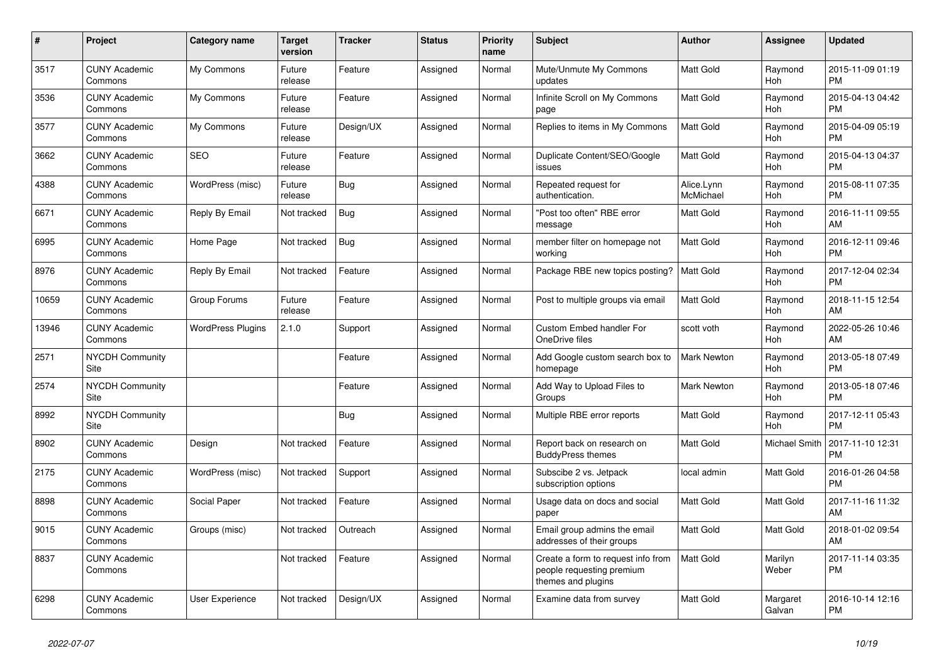| $\pmb{\#}$ | <b>Project</b>                        | <b>Category name</b>     | <b>Target</b><br>version | <b>Tracker</b> | <b>Status</b> | <b>Priority</b><br>name | <b>Subject</b>                                                                        | <b>Author</b>           | Assignee           | <b>Updated</b>                |
|------------|---------------------------------------|--------------------------|--------------------------|----------------|---------------|-------------------------|---------------------------------------------------------------------------------------|-------------------------|--------------------|-------------------------------|
| 3517       | <b>CUNY Academic</b><br>Commons       | My Commons               | Future<br>release        | Feature        | Assigned      | Normal                  | Mute/Unmute My Commons<br>updates                                                     | <b>Matt Gold</b>        | Raymond<br>Hoh     | 2015-11-09 01:19<br><b>PM</b> |
| 3536       | <b>CUNY Academic</b><br>Commons       | My Commons               | Future<br>release        | Feature        | Assigned      | Normal                  | Infinite Scroll on My Commons<br>page                                                 | <b>Matt Gold</b>        | Raymond<br>Hoh     | 2015-04-13 04:42<br><b>PM</b> |
| 3577       | <b>CUNY Academic</b><br>Commons       | My Commons               | Future<br>release        | Design/UX      | Assigned      | Normal                  | Replies to items in My Commons                                                        | <b>Matt Gold</b>        | Raymond<br>Hoh     | 2015-04-09 05:19<br><b>PM</b> |
| 3662       | <b>CUNY Academic</b><br>Commons       | <b>SEO</b>               | Future<br>release        | Feature        | Assigned      | Normal                  | Duplicate Content/SEO/Google<br>issues                                                | Matt Gold               | Raymond<br>Hoh     | 2015-04-13 04:37<br><b>PM</b> |
| 4388       | <b>CUNY Academic</b><br>Commons       | WordPress (misc)         | Future<br>release        | <b>Bug</b>     | Assigned      | Normal                  | Repeated request for<br>authentication.                                               | Alice.Lynn<br>McMichael | Raymond<br>Hoh     | 2015-08-11 07:35<br><b>PM</b> |
| 6671       | <b>CUNY Academic</b><br>Commons       | Reply By Email           | Not tracked              | Bug            | Assigned      | Normal                  | "Post too often" RBE error<br>message                                                 | Matt Gold               | Raymond<br>Hoh     | 2016-11-11 09:55<br>AM        |
| 6995       | <b>CUNY Academic</b><br>Commons       | Home Page                | Not tracked              | <b>Bug</b>     | Assigned      | Normal                  | member filter on homepage not<br>working                                              | <b>Matt Gold</b>        | Raymond<br>Hoh     | 2016-12-11 09:46<br><b>PM</b> |
| 8976       | <b>CUNY Academic</b><br>Commons       | Reply By Email           | Not tracked              | Feature        | Assigned      | Normal                  | Package RBE new topics posting?                                                       | <b>Matt Gold</b>        | Raymond<br>Hoh     | 2017-12-04 02:34<br><b>PM</b> |
| 10659      | <b>CUNY Academic</b><br>Commons       | Group Forums             | Future<br>release        | Feature        | Assigned      | Normal                  | Post to multiple groups via email                                                     | <b>Matt Gold</b>        | Raymond<br>Hoh     | 2018-11-15 12:54<br>AM        |
| 13946      | <b>CUNY Academic</b><br>Commons       | <b>WordPress Plugins</b> | 2.1.0                    | Support        | Assigned      | Normal                  | <b>Custom Embed handler For</b><br>OneDrive files                                     | scott voth              | Raymond<br>Hoh     | 2022-05-26 10:46<br>AM        |
| 2571       | <b>NYCDH Community</b><br>Site        |                          |                          | Feature        | Assigned      | Normal                  | Add Google custom search box to<br>homepage                                           | <b>Mark Newton</b>      | Raymond<br>Hoh     | 2013-05-18 07:49<br><b>PM</b> |
| 2574       | <b>NYCDH Community</b><br>Site        |                          |                          | Feature        | Assigned      | Normal                  | Add Way to Upload Files to<br>Groups                                                  | Mark Newton             | Raymond<br>Hoh     | 2013-05-18 07:46<br><b>PM</b> |
| 8992       | <b>NYCDH Community</b><br><b>Site</b> |                          |                          | <b>Bug</b>     | Assigned      | Normal                  | Multiple RBE error reports                                                            | <b>Matt Gold</b>        | Raymond<br>Hoh     | 2017-12-11 05:43<br><b>PM</b> |
| 8902       | <b>CUNY Academic</b><br>Commons       | Design                   | Not tracked              | Feature        | Assigned      | Normal                  | Report back on research on<br><b>BuddyPress themes</b>                                | <b>Matt Gold</b>        | Michael Smith      | 2017-11-10 12:31<br><b>PM</b> |
| 2175       | <b>CUNY Academic</b><br>Commons       | WordPress (misc)         | Not tracked              | Support        | Assigned      | Normal                  | Subscibe 2 vs. Jetpack<br>subscription options                                        | local admin             | Matt Gold          | 2016-01-26 04:58<br><b>PM</b> |
| 8898       | <b>CUNY Academic</b><br>Commons       | Social Paper             | Not tracked              | Feature        | Assigned      | Normal                  | Usage data on docs and social<br>paper                                                | <b>Matt Gold</b>        | Matt Gold          | 2017-11-16 11:32<br>AM        |
| 9015       | <b>CUNY Academic</b><br>Commons       | Groups (misc)            | Not tracked              | Outreach       | Assigned      | Normal                  | Email group admins the email<br>addresses of their groups                             | <b>Matt Gold</b>        | Matt Gold          | 2018-01-02 09:54<br>AM        |
| 8837       | <b>CUNY Academic</b><br>Commons       |                          | Not tracked              | Feature        | Assigned      | Normal                  | Create a form to request info from<br>people requesting premium<br>themes and plugins | <b>Matt Gold</b>        | Marilyn<br>Weber   | 2017-11-14 03:35<br><b>PM</b> |
| 6298       | <b>CUNY Academic</b><br>Commons       | User Experience          | Not tracked              | Design/UX      | Assigned      | Normal                  | Examine data from survey                                                              | <b>Matt Gold</b>        | Margaret<br>Galvan | 2016-10-14 12:16<br><b>PM</b> |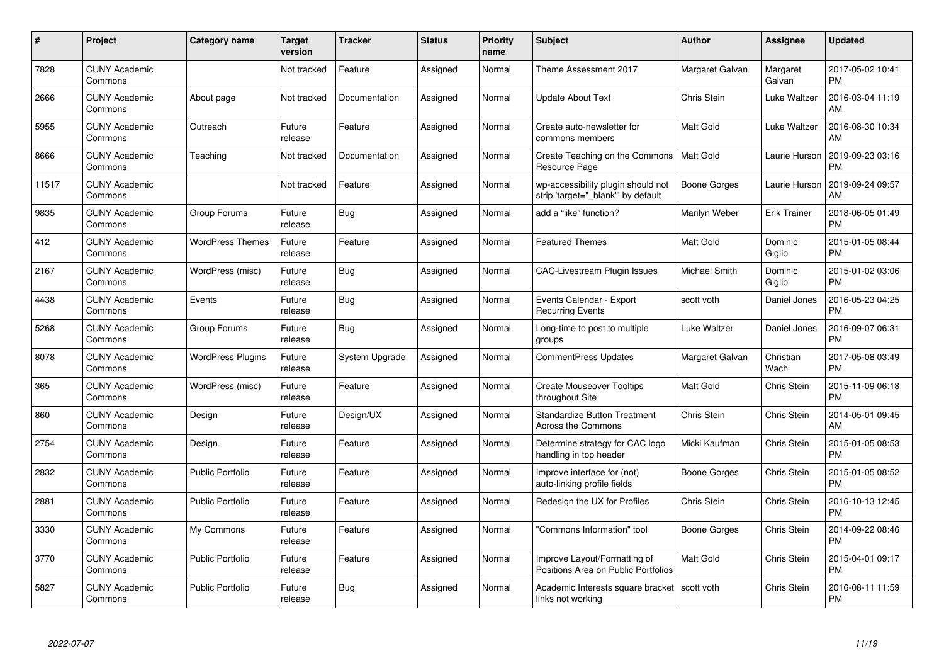| #     | Project                         | <b>Category name</b>     | <b>Target</b><br>version | <b>Tracker</b> | <b>Status</b> | <b>Priority</b><br>name | <b>Subject</b>                                                          | <b>Author</b>        | Assignee            | <b>Updated</b>                |
|-------|---------------------------------|--------------------------|--------------------------|----------------|---------------|-------------------------|-------------------------------------------------------------------------|----------------------|---------------------|-------------------------------|
| 7828  | <b>CUNY Academic</b><br>Commons |                          | Not tracked              | Feature        | Assigned      | Normal                  | Theme Assessment 2017                                                   | Margaret Galvan      | Margaret<br>Galvan  | 2017-05-02 10:41<br><b>PM</b> |
| 2666  | <b>CUNY Academic</b><br>Commons | About page               | Not tracked              | Documentation  | Assigned      | Normal                  | <b>Update About Text</b>                                                | Chris Stein          | Luke Waltzer        | 2016-03-04 11:19<br>AM        |
| 5955  | <b>CUNY Academic</b><br>Commons | Outreach                 | Future<br>release        | Feature        | Assigned      | Normal                  | Create auto-newsletter for<br>commons members                           | <b>Matt Gold</b>     | Luke Waltzer        | 2016-08-30 10:34<br>AM        |
| 8666  | <b>CUNY Academic</b><br>Commons | Teaching                 | Not tracked              | Documentation  | Assigned      | Normal                  | Create Teaching on the Commons<br>Resource Page                         | <b>Matt Gold</b>     | Laurie Hurson       | 2019-09-23 03:16<br><b>PM</b> |
| 11517 | <b>CUNY Academic</b><br>Commons |                          | Not tracked              | Feature        | Assigned      | Normal                  | wp-accessibility plugin should not<br>strip 'target="_blank" by default | <b>Boone Gorges</b>  | Laurie Hurson       | 2019-09-24 09:57<br>AM        |
| 9835  | <b>CUNY Academic</b><br>Commons | Group Forums             | Future<br>release        | Bug            | Assigned      | Normal                  | add a "like" function?                                                  | Marilyn Weber        | <b>Erik Trainer</b> | 2018-06-05 01:49<br><b>PM</b> |
| 412   | <b>CUNY Academic</b><br>Commons | <b>WordPress Themes</b>  | Future<br>release        | Feature        | Assigned      | Normal                  | <b>Featured Themes</b>                                                  | <b>Matt Gold</b>     | Dominic<br>Giglio   | 2015-01-05 08:44<br><b>PM</b> |
| 2167  | <b>CUNY Academic</b><br>Commons | WordPress (misc)         | Future<br>release        | <b>Bug</b>     | Assigned      | Normal                  | <b>CAC-Livestream Plugin Issues</b>                                     | <b>Michael Smith</b> | Dominic<br>Giglio   | 2015-01-02 03:06<br><b>PM</b> |
| 4438  | <b>CUNY Academic</b><br>Commons | Events                   | Future<br>release        | <b>Bug</b>     | Assigned      | Normal                  | Events Calendar - Export<br><b>Recurring Events</b>                     | scott voth           | Daniel Jones        | 2016-05-23 04:25<br><b>PM</b> |
| 5268  | <b>CUNY Academic</b><br>Commons | Group Forums             | Future<br>release        | Bug            | Assigned      | Normal                  | Long-time to post to multiple<br>groups                                 | Luke Waltzer         | Daniel Jones        | 2016-09-07 06:31<br><b>PM</b> |
| 8078  | <b>CUNY Academic</b><br>Commons | <b>WordPress Plugins</b> | Future<br>release        | System Upgrade | Assigned      | Normal                  | CommentPress Updates                                                    | Margaret Galvan      | Christian<br>Wach   | 2017-05-08 03:49<br><b>PM</b> |
| 365   | <b>CUNY Academic</b><br>Commons | WordPress (misc)         | Future<br>release        | Feature        | Assigned      | Normal                  | <b>Create Mouseover Tooltips</b><br>throughout Site                     | Matt Gold            | Chris Stein         | 2015-11-09 06:18<br><b>PM</b> |
| 860   | <b>CUNY Academic</b><br>Commons | Design                   | Future<br>release        | Design/UX      | Assigned      | Normal                  | <b>Standardize Button Treatment</b><br>Across the Commons               | Chris Stein          | Chris Stein         | 2014-05-01 09:45<br>AM        |
| 2754  | <b>CUNY Academic</b><br>Commons | Design                   | Future<br>release        | Feature        | Assigned      | Normal                  | Determine strategy for CAC logo<br>handling in top header               | Micki Kaufman        | Chris Stein         | 2015-01-05 08:53<br><b>PM</b> |
| 2832  | <b>CUNY Academic</b><br>Commons | <b>Public Portfolio</b>  | Future<br>release        | Feature        | Assigned      | Normal                  | Improve interface for (not)<br>auto-linking profile fields              | Boone Gorges         | Chris Stein         | 2015-01-05 08:52<br><b>PM</b> |
| 2881  | <b>CUNY Academic</b><br>Commons | <b>Public Portfolio</b>  | Future<br>release        | Feature        | Assigned      | Normal                  | Redesign the UX for Profiles                                            | Chris Stein          | Chris Stein         | 2016-10-13 12:45<br><b>PM</b> |
| 3330  | <b>CUNY Academic</b><br>Commons | My Commons               | Future<br>release        | Feature        | Assigned      | Normal                  | 'Commons Information" tool                                              | Boone Gorges         | Chris Stein         | 2014-09-22 08:46<br><b>PM</b> |
| 3770  | <b>CUNY Academic</b><br>Commons | Public Portfolio         | Future<br>release        | Feature        | Assigned      | Normal                  | Improve Layout/Formatting of<br>Positions Area on Public Portfolios     | Matt Gold            | Chris Stein         | 2015-04-01 09:17<br><b>PM</b> |
| 5827  | <b>CUNY Academic</b><br>Commons | <b>Public Portfolio</b>  | Future<br>release        | <b>Bug</b>     | Assigned      | Normal                  | Academic Interests square bracket<br>links not working                  | scott voth           | Chris Stein         | 2016-08-11 11:59<br><b>PM</b> |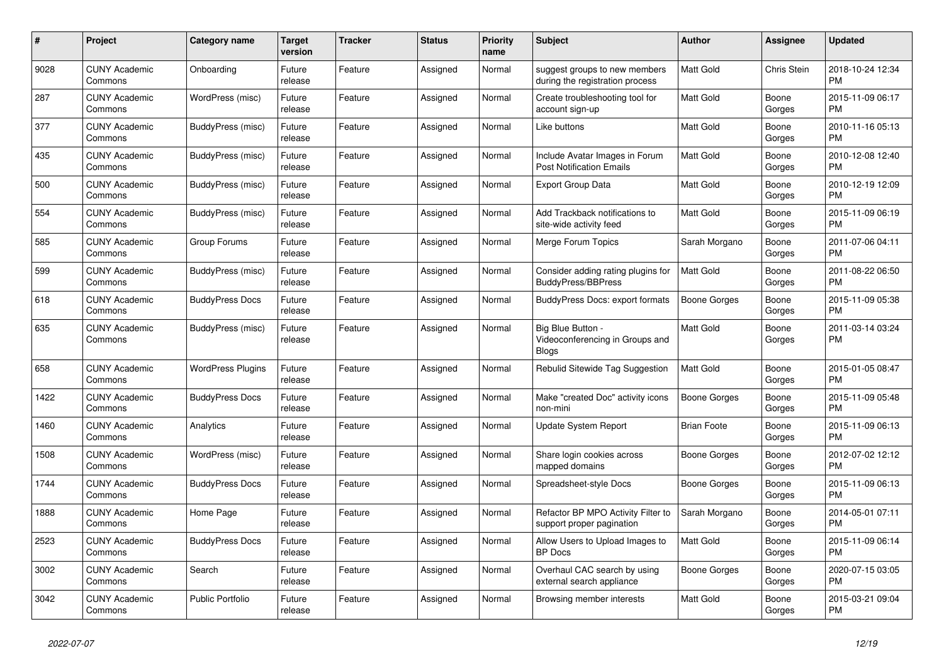| #    | <b>Project</b>                  | <b>Category name</b>     | <b>Target</b><br>version | <b>Tracker</b> | <b>Status</b> | <b>Priority</b><br>name | <b>Subject</b>                                                       | <b>Author</b>      | Assignee        | <b>Updated</b>                |
|------|---------------------------------|--------------------------|--------------------------|----------------|---------------|-------------------------|----------------------------------------------------------------------|--------------------|-----------------|-------------------------------|
| 9028 | <b>CUNY Academic</b><br>Commons | Onboarding               | Future<br>release        | Feature        | Assigned      | Normal                  | suggest groups to new members<br>during the registration process     | <b>Matt Gold</b>   | Chris Stein     | 2018-10-24 12:34<br><b>PM</b> |
| 287  | <b>CUNY Academic</b><br>Commons | WordPress (misc)         | Future<br>release        | Feature        | Assigned      | Normal                  | Create troubleshooting tool for<br>account sign-up                   | Matt Gold          | Boone<br>Gorges | 2015-11-09 06:17<br><b>PM</b> |
| 377  | <b>CUNY Academic</b><br>Commons | BuddyPress (misc)        | Future<br>release        | Feature        | Assigned      | Normal                  | Like buttons                                                         | Matt Gold          | Boone<br>Gorges | 2010-11-16 05:13<br><b>PM</b> |
| 435  | <b>CUNY Academic</b><br>Commons | BuddyPress (misc)        | Future<br>release        | Feature        | Assigned      | Normal                  | Include Avatar Images in Forum<br><b>Post Notification Emails</b>    | <b>Matt Gold</b>   | Boone<br>Gorges | 2010-12-08 12:40<br><b>PM</b> |
| 500  | <b>CUNY Academic</b><br>Commons | BuddyPress (misc)        | Future<br>release        | Feature        | Assigned      | Normal                  | <b>Export Group Data</b>                                             | Matt Gold          | Boone<br>Gorges | 2010-12-19 12:09<br><b>PM</b> |
| 554  | <b>CUNY Academic</b><br>Commons | BuddyPress (misc)        | Future<br>release        | Feature        | Assigned      | Normal                  | Add Trackback notifications to<br>site-wide activity feed            | Matt Gold          | Boone<br>Gorges | 2015-11-09 06:19<br><b>PM</b> |
| 585  | <b>CUNY Academic</b><br>Commons | Group Forums             | Future<br>release        | Feature        | Assigned      | Normal                  | Merge Forum Topics                                                   | Sarah Morgano      | Boone<br>Gorges | 2011-07-06 04:11<br><b>PM</b> |
| 599  | <b>CUNY Academic</b><br>Commons | BuddyPress (misc)        | Future<br>release        | Feature        | Assigned      | Normal                  | Consider adding rating plugins for<br><b>BuddyPress/BBPress</b>      | <b>Matt Gold</b>   | Boone<br>Gorges | 2011-08-22 06:50<br><b>PM</b> |
| 618  | <b>CUNY Academic</b><br>Commons | <b>BuddyPress Docs</b>   | Future<br>release        | Feature        | Assigned      | Normal                  | <b>BuddyPress Docs: export formats</b>                               | Boone Gorges       | Boone<br>Gorges | 2015-11-09 05:38<br><b>PM</b> |
| 635  | <b>CUNY Academic</b><br>Commons | BuddyPress (misc)        | Future<br>release        | Feature        | Assigned      | Normal                  | Big Blue Button -<br>Videoconferencing in Groups and<br><b>Blogs</b> | Matt Gold          | Boone<br>Gorges | 2011-03-14 03:24<br><b>PM</b> |
| 658  | <b>CUNY Academic</b><br>Commons | <b>WordPress Plugins</b> | Future<br>release        | Feature        | Assigned      | Normal                  | Rebulid Sitewide Tag Suggestion                                      | Matt Gold          | Boone<br>Gorges | 2015-01-05 08:47<br><b>PM</b> |
| 1422 | <b>CUNY Academic</b><br>Commons | <b>BuddyPress Docs</b>   | Future<br>release        | Feature        | Assigned      | Normal                  | Make "created Doc" activity icons<br>non-mini                        | Boone Gorges       | Boone<br>Gorges | 2015-11-09 05:48<br><b>PM</b> |
| 1460 | <b>CUNY Academic</b><br>Commons | Analytics                | Future<br>release        | Feature        | Assigned      | Normal                  | Update System Report                                                 | <b>Brian Foote</b> | Boone<br>Gorges | 2015-11-09 06:13<br><b>PM</b> |
| 1508 | <b>CUNY Academic</b><br>Commons | WordPress (misc)         | Future<br>release        | Feature        | Assigned      | Normal                  | Share login cookies across<br>mapped domains                         | Boone Gorges       | Boone<br>Gorges | 2012-07-02 12:12<br>PM        |
| 1744 | <b>CUNY Academic</b><br>Commons | <b>BuddyPress Docs</b>   | Future<br>release        | Feature        | Assigned      | Normal                  | Spreadsheet-style Docs                                               | Boone Gorges       | Boone<br>Gorges | 2015-11-09 06:13<br><b>PM</b> |
| 1888 | <b>CUNY Academic</b><br>Commons | Home Page                | Future<br>release        | Feature        | Assigned      | Normal                  | Refactor BP MPO Activity Filter to<br>support proper pagination      | Sarah Morgano      | Boone<br>Gorges | 2014-05-01 07:11<br><b>PM</b> |
| 2523 | <b>CUNY Academic</b><br>Commons | <b>BuddyPress Docs</b>   | Future<br>release        | Feature        | Assigned      | Normal                  | Allow Users to Upload Images to<br><b>BP</b> Docs                    | Matt Gold          | Boone<br>Gorges | 2015-11-09 06:14<br><b>PM</b> |
| 3002 | <b>CUNY Academic</b><br>Commons | Search                   | Future<br>release        | Feature        | Assigned      | Normal                  | Overhaul CAC search by using<br>external search appliance            | Boone Gorges       | Boone<br>Gorges | 2020-07-15 03:05<br><b>PM</b> |
| 3042 | <b>CUNY Academic</b><br>Commons | <b>Public Portfolio</b>  | Future<br>release        | Feature        | Assigned      | Normal                  | Browsing member interests                                            | Matt Gold          | Boone<br>Gorges | 2015-03-21 09:04<br><b>PM</b> |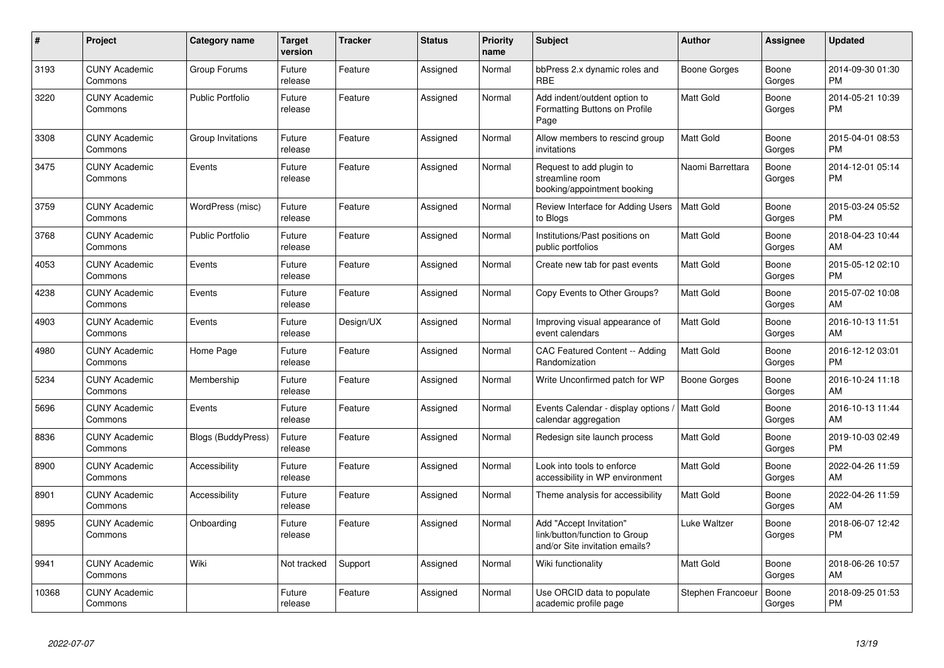| #     | Project                         | <b>Category name</b>      | <b>Target</b><br>version | <b>Tracker</b> | <b>Status</b> | <b>Priority</b><br>name | <b>Subject</b>                                                                             | Author            | Assignee        | <b>Updated</b>                |
|-------|---------------------------------|---------------------------|--------------------------|----------------|---------------|-------------------------|--------------------------------------------------------------------------------------------|-------------------|-----------------|-------------------------------|
| 3193  | <b>CUNY Academic</b><br>Commons | Group Forums              | Future<br>release        | Feature        | Assigned      | Normal                  | bbPress 2.x dynamic roles and<br><b>RBE</b>                                                | Boone Gorges      | Boone<br>Gorges | 2014-09-30 01:30<br><b>PM</b> |
| 3220  | <b>CUNY Academic</b><br>Commons | Public Portfolio          | Future<br>release        | Feature        | Assigned      | Normal                  | Add indent/outdent option to<br>Formatting Buttons on Profile<br>Page                      | <b>Matt Gold</b>  | Boone<br>Gorges | 2014-05-21 10:39<br><b>PM</b> |
| 3308  | <b>CUNY Academic</b><br>Commons | Group Invitations         | Future<br>release        | Feature        | Assigned      | Normal                  | Allow members to rescind group<br>invitations                                              | <b>Matt Gold</b>  | Boone<br>Gorges | 2015-04-01 08:53<br><b>PM</b> |
| 3475  | <b>CUNY Academic</b><br>Commons | Events                    | Future<br>release        | Feature        | Assigned      | Normal                  | Request to add plugin to<br>streamline room<br>booking/appointment booking                 | Naomi Barrettara  | Boone<br>Gorges | 2014-12-01 05:14<br><b>PM</b> |
| 3759  | <b>CUNY Academic</b><br>Commons | WordPress (misc)          | Future<br>release        | Feature        | Assigned      | Normal                  | Review Interface for Adding Users<br>to Blogs                                              | <b>Matt Gold</b>  | Boone<br>Gorges | 2015-03-24 05:52<br><b>PM</b> |
| 3768  | <b>CUNY Academic</b><br>Commons | <b>Public Portfolio</b>   | Future<br>release        | Feature        | Assigned      | Normal                  | Institutions/Past positions on<br>public portfolios                                        | Matt Gold         | Boone<br>Gorges | 2018-04-23 10:44<br>AM        |
| 4053  | <b>CUNY Academic</b><br>Commons | Events                    | Future<br>release        | Feature        | Assigned      | Normal                  | Create new tab for past events                                                             | <b>Matt Gold</b>  | Boone<br>Gorges | 2015-05-12 02:10<br><b>PM</b> |
| 4238  | <b>CUNY Academic</b><br>Commons | Events                    | Future<br>release        | Feature        | Assigned      | Normal                  | Copy Events to Other Groups?                                                               | <b>Matt Gold</b>  | Boone<br>Gorges | 2015-07-02 10:08<br>AM        |
| 4903  | <b>CUNY Academic</b><br>Commons | Events                    | Future<br>release        | Design/UX      | Assigned      | Normal                  | Improving visual appearance of<br>event calendars                                          | <b>Matt Gold</b>  | Boone<br>Gorges | 2016-10-13 11:51<br>AM        |
| 4980  | <b>CUNY Academic</b><br>Commons | Home Page                 | Future<br>release        | Feature        | Assigned      | Normal                  | <b>CAC Featured Content -- Adding</b><br>Randomization                                     | <b>Matt Gold</b>  | Boone<br>Gorges | 2016-12-12 03:01<br><b>PM</b> |
| 5234  | <b>CUNY Academic</b><br>Commons | Membership                | Future<br>release        | Feature        | Assigned      | Normal                  | Write Unconfirmed patch for WP                                                             | Boone Gorges      | Boone<br>Gorges | 2016-10-24 11:18<br>AM        |
| 5696  | <b>CUNY Academic</b><br>Commons | Events                    | Future<br>release        | Feature        | Assigned      | Normal                  | Events Calendar - display options<br>calendar aggregation                                  | Matt Gold         | Boone<br>Gorges | 2016-10-13 11:44<br>AM        |
| 8836  | <b>CUNY Academic</b><br>Commons | <b>Blogs (BuddyPress)</b> | Future<br>release        | Feature        | Assigned      | Normal                  | Redesign site launch process                                                               | Matt Gold         | Boone<br>Gorges | 2019-10-03 02:49<br><b>PM</b> |
| 8900  | <b>CUNY Academic</b><br>Commons | Accessibility             | Future<br>release        | Feature        | Assigned      | Normal                  | Look into tools to enforce<br>accessibility in WP environment                              | <b>Matt Gold</b>  | Boone<br>Gorges | 2022-04-26 11:59<br>AM        |
| 8901  | <b>CUNY Academic</b><br>Commons | Accessibility             | Future<br>release        | Feature        | Assigned      | Normal                  | Theme analysis for accessibility                                                           | <b>Matt Gold</b>  | Boone<br>Gorges | 2022-04-26 11:59<br>AM        |
| 9895  | <b>CUNY Academic</b><br>Commons | Onboarding                | Future<br>release        | Feature        | Assigned      | Normal                  | Add "Accept Invitation"<br>link/button/function to Group<br>and/or Site invitation emails? | Luke Waltzer      | Boone<br>Gorges | 2018-06-07 12:42<br><b>PM</b> |
| 9941  | <b>CUNY Academic</b><br>Commons | Wiki                      | Not tracked              | Support        | Assigned      | Normal                  | Wiki functionality                                                                         | <b>Matt Gold</b>  | Boone<br>Gorges | 2018-06-26 10:57<br>AM        |
| 10368 | <b>CUNY Academic</b><br>Commons |                           | Future<br>release        | Feature        | Assigned      | Normal                  | Use ORCID data to populate<br>academic profile page                                        | Stephen Francoeur | Boone<br>Gorges | 2018-09-25 01:53<br><b>PM</b> |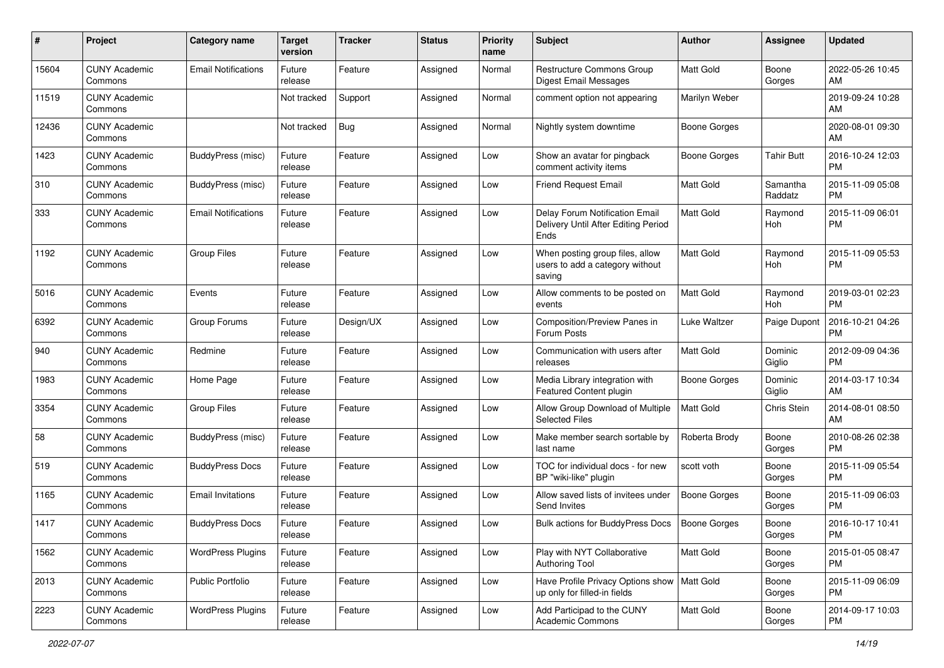| #     | Project                         | <b>Category name</b>       | <b>Target</b><br>version | <b>Tracker</b> | <b>Status</b> | <b>Priority</b><br>name | <b>Subject</b>                                                                | Author              | <b>Assignee</b>     | <b>Updated</b>                |
|-------|---------------------------------|----------------------------|--------------------------|----------------|---------------|-------------------------|-------------------------------------------------------------------------------|---------------------|---------------------|-------------------------------|
| 15604 | <b>CUNY Academic</b><br>Commons | <b>Email Notifications</b> | Future<br>release        | Feature        | Assigned      | Normal                  | Restructure Commons Group<br>Digest Email Messages                            | <b>Matt Gold</b>    | Boone<br>Gorges     | 2022-05-26 10:45<br>AM        |
| 11519 | <b>CUNY Academic</b><br>Commons |                            | Not tracked              | Support        | Assigned      | Normal                  | comment option not appearing                                                  | Marilyn Weber       |                     | 2019-09-24 10:28<br>AM        |
| 12436 | <b>CUNY Academic</b><br>Commons |                            | Not tracked              | Bug            | Assigned      | Normal                  | Nightly system downtime                                                       | Boone Gorges        |                     | 2020-08-01 09:30<br>AM        |
| 1423  | <b>CUNY Academic</b><br>Commons | BuddyPress (misc)          | Future<br>release        | Feature        | Assigned      | Low                     | Show an avatar for pingback<br>comment activity items                         | <b>Boone Gorges</b> | Tahir Butt          | 2016-10-24 12:03<br><b>PM</b> |
| 310   | <b>CUNY Academic</b><br>Commons | BuddyPress (misc)          | Future<br>release        | Feature        | Assigned      | Low                     | <b>Friend Request Email</b>                                                   | <b>Matt Gold</b>    | Samantha<br>Raddatz | 2015-11-09 05:08<br><b>PM</b> |
| 333   | <b>CUNY Academic</b><br>Commons | <b>Email Notifications</b> | Future<br>release        | Feature        | Assigned      | Low                     | Delay Forum Notification Email<br>Delivery Until After Editing Period<br>Ends | <b>Matt Gold</b>    | Raymond<br>Hoh      | 2015-11-09 06:01<br><b>PM</b> |
| 1192  | <b>CUNY Academic</b><br>Commons | <b>Group Files</b>         | Future<br>release        | Feature        | Assigned      | Low                     | When posting group files, allow<br>users to add a category without<br>saving  | Matt Gold           | Raymond<br>Hoh      | 2015-11-09 05:53<br><b>PM</b> |
| 5016  | <b>CUNY Academic</b><br>Commons | Events                     | Future<br>release        | Feature        | Assigned      | Low                     | Allow comments to be posted on<br>events                                      | <b>Matt Gold</b>    | Raymond<br>Hoh      | 2019-03-01 02:23<br><b>PM</b> |
| 6392  | <b>CUNY Academic</b><br>Commons | Group Forums               | Future<br>release        | Design/UX      | Assigned      | Low                     | Composition/Preview Panes in<br>Forum Posts                                   | Luke Waltzer        | Paige Dupont        | 2016-10-21 04:26<br><b>PM</b> |
| 940   | <b>CUNY Academic</b><br>Commons | Redmine                    | Future<br>release        | Feature        | Assigned      | Low                     | Communication with users after<br>releases                                    | <b>Matt Gold</b>    | Dominic<br>Giglio   | 2012-09-09 04:36<br><b>PM</b> |
| 1983  | <b>CUNY Academic</b><br>Commons | Home Page                  | Future<br>release        | Feature        | Assigned      | Low                     | Media Library integration with<br>Featured Content plugin                     | <b>Boone Gorges</b> | Dominic<br>Giglio   | 2014-03-17 10:34<br>AM        |
| 3354  | <b>CUNY Academic</b><br>Commons | <b>Group Files</b>         | Future<br>release        | Feature        | Assigned      | Low                     | Allow Group Download of Multiple<br><b>Selected Files</b>                     | <b>Matt Gold</b>    | Chris Stein         | 2014-08-01 08:50<br>AM        |
| 58    | <b>CUNY Academic</b><br>Commons | BuddyPress (misc)          | Future<br>release        | Feature        | Assigned      | Low                     | Make member search sortable by<br>last name                                   | Roberta Brody       | Boone<br>Gorges     | 2010-08-26 02:38<br><b>PM</b> |
| 519   | <b>CUNY Academic</b><br>Commons | <b>BuddyPress Docs</b>     | Future<br>release        | Feature        | Assigned      | Low                     | TOC for individual docs - for new<br>BP "wiki-like" plugin                    | scott voth          | Boone<br>Gorges     | 2015-11-09 05:54<br><b>PM</b> |
| 1165  | <b>CUNY Academic</b><br>Commons | <b>Email Invitations</b>   | Future<br>release        | Feature        | Assigned      | Low                     | Allow saved lists of invitees under<br>Send Invites                           | <b>Boone Gorges</b> | Boone<br>Gorges     | 2015-11-09 06:03<br><b>PM</b> |
| 1417  | <b>CUNY Academic</b><br>Commons | <b>BuddyPress Docs</b>     | Future<br>release        | Feature        | Assigned      | Low                     | <b>Bulk actions for BuddyPress Docs</b>                                       | Boone Gorges        | Boone<br>Gorges     | 2016-10-17 10:41<br>PM        |
| 1562  | <b>CUNY Academic</b><br>Commons | <b>WordPress Plugins</b>   | Future<br>release        | Feature        | Assigned      | Low                     | Play with NYT Collaborative<br>Authoring Tool                                 | Matt Gold           | Boone<br>Gorges     | 2015-01-05 08:47<br>PM        |
| 2013  | <b>CUNY Academic</b><br>Commons | <b>Public Portfolio</b>    | Future<br>release        | Feature        | Assigned      | Low                     | Have Profile Privacy Options show   Matt Gold<br>up only for filled-in fields |                     | Boone<br>Gorges     | 2015-11-09 06:09<br><b>PM</b> |
| 2223  | <b>CUNY Academic</b><br>Commons | <b>WordPress Plugins</b>   | Future<br>release        | Feature        | Assigned      | Low                     | Add Participad to the CUNY<br>Academic Commons                                | Matt Gold           | Boone<br>Gorges     | 2014-09-17 10:03<br><b>PM</b> |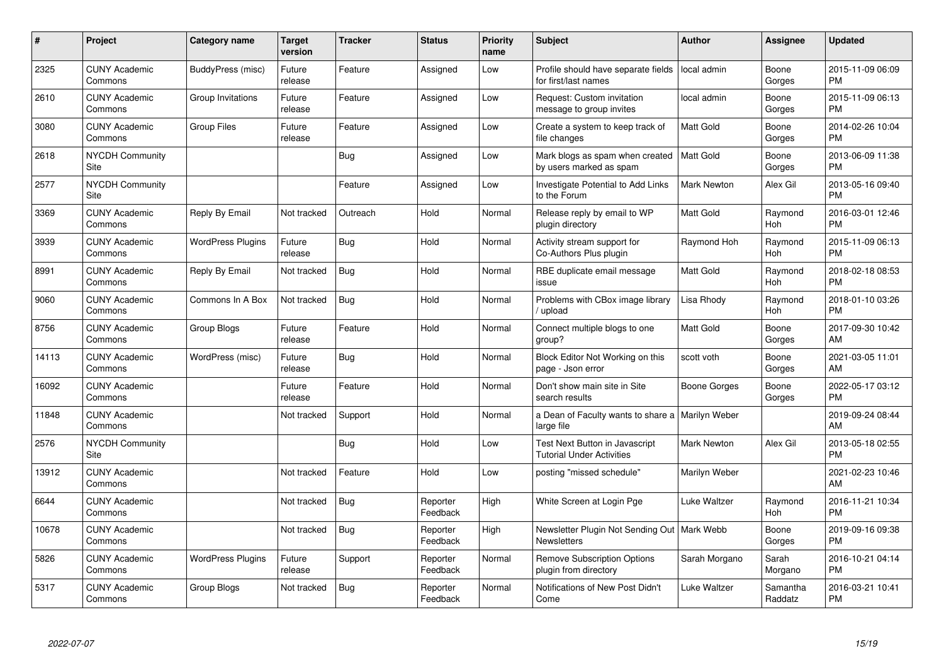| #     | <b>Project</b>                  | Category name            | <b>Target</b><br>version | <b>Tracker</b> | <b>Status</b>        | <b>Priority</b><br>name | <b>Subject</b>                                                            | Author             | Assignee            | <b>Updated</b>                |
|-------|---------------------------------|--------------------------|--------------------------|----------------|----------------------|-------------------------|---------------------------------------------------------------------------|--------------------|---------------------|-------------------------------|
| 2325  | <b>CUNY Academic</b><br>Commons | BuddyPress (misc)        | Future<br>release        | Feature        | Assigned             | Low                     | Profile should have separate fields   local admin<br>for first/last names |                    | Boone<br>Gorges     | 2015-11-09 06:09<br><b>PM</b> |
| 2610  | <b>CUNY Academic</b><br>Commons | Group Invitations        | Future<br>release        | Feature        | Assigned             | Low                     | Request: Custom invitation<br>message to group invites                    | local admin        | Boone<br>Gorges     | 2015-11-09 06:13<br><b>PM</b> |
| 3080  | <b>CUNY Academic</b><br>Commons | <b>Group Files</b>       | Future<br>release        | Feature        | Assigned             | Low                     | Create a system to keep track of<br>file changes                          | <b>Matt Gold</b>   | Boone<br>Gorges     | 2014-02-26 10:04<br><b>PM</b> |
| 2618  | <b>NYCDH Community</b><br>Site  |                          |                          | Bug            | Assigned             | Low                     | Mark blogs as spam when created<br>by users marked as spam                | <b>Matt Gold</b>   | Boone<br>Gorges     | 2013-06-09 11:38<br><b>PM</b> |
| 2577  | <b>NYCDH Community</b><br>Site  |                          |                          | Feature        | Assigned             | Low                     | Investigate Potential to Add Links<br>to the Forum                        | <b>Mark Newton</b> | Alex Gil            | 2013-05-16 09:40<br><b>PM</b> |
| 3369  | <b>CUNY Academic</b><br>Commons | Reply By Email           | Not tracked              | Outreach       | Hold                 | Normal                  | Release reply by email to WP<br>plugin directory                          | <b>Matt Gold</b>   | Raymond<br>Hoh      | 2016-03-01 12:46<br><b>PM</b> |
| 3939  | <b>CUNY Academic</b><br>Commons | <b>WordPress Plugins</b> | Future<br>release        | <b>Bug</b>     | Hold                 | Normal                  | Activity stream support for<br>Co-Authors Plus plugin                     | Raymond Hoh        | Raymond<br>Hoh      | 2015-11-09 06:13<br><b>PM</b> |
| 8991  | <b>CUNY Academic</b><br>Commons | Reply By Email           | Not tracked              | Bug            | Hold                 | Normal                  | RBE duplicate email message<br>issue                                      | <b>Matt Gold</b>   | Raymond<br>Hoh      | 2018-02-18 08:53<br><b>PM</b> |
| 9060  | <b>CUNY Academic</b><br>Commons | Commons In A Box         | Not tracked              | Bug            | Hold                 | Normal                  | Problems with CBox image library<br>/ upload                              | Lisa Rhody         | Raymond<br>Hoh      | 2018-01-10 03:26<br><b>PM</b> |
| 8756  | <b>CUNY Academic</b><br>Commons | Group Blogs              | Future<br>release        | Feature        | Hold                 | Normal                  | Connect multiple blogs to one<br>group?                                   | Matt Gold          | Boone<br>Gorges     | 2017-09-30 10:42<br>AM        |
| 14113 | <b>CUNY Academic</b><br>Commons | WordPress (misc)         | Future<br>release        | Bug            | Hold                 | Normal                  | Block Editor Not Working on this<br>page - Json error                     | scott voth         | Boone<br>Gorges     | 2021-03-05 11:01<br>AM        |
| 16092 | <b>CUNY Academic</b><br>Commons |                          | Future<br>release        | Feature        | Hold                 | Normal                  | Don't show main site in Site<br>search results                            | Boone Gorges       | Boone<br>Gorges     | 2022-05-17 03:12<br><b>PM</b> |
| 11848 | <b>CUNY Academic</b><br>Commons |                          | Not tracked              | Support        | Hold                 | Normal                  | a Dean of Faculty wants to share a   Marilyn Weber<br>large file          |                    |                     | 2019-09-24 08:44<br>AM        |
| 2576  | <b>NYCDH Community</b><br>Site  |                          |                          | Bug            | Hold                 | Low                     | Test Next Button in Javascript<br><b>Tutorial Under Activities</b>        | <b>Mark Newton</b> | Alex Gil            | 2013-05-18 02:55<br><b>PM</b> |
| 13912 | <b>CUNY Academic</b><br>Commons |                          | Not tracked              | Feature        | Hold                 | Low                     | posting "missed schedule"                                                 | Marilyn Weber      |                     | 2021-02-23 10:46<br>AM        |
| 6644  | <b>CUNY Academic</b><br>Commons |                          | Not tracked              | Bug            | Reporter<br>Feedback | High                    | White Screen at Login Pge                                                 | Luke Waltzer       | Raymond<br>Hoh      | 2016-11-21 10:34<br><b>PM</b> |
| 10678 | <b>CUNY Academic</b><br>Commons |                          | Not tracked              | Bug            | Reporter<br>Feedback | High                    | Newsletter Plugin Not Sending Out   Mark Webb<br><b>Newsletters</b>       |                    | Boone<br>Gorges     | 2019-09-16 09:38<br><b>PM</b> |
| 5826  | <b>CUNY Academic</b><br>Commons | <b>WordPress Plugins</b> | Future<br>release        | Support        | Reporter<br>Feedback | Normal                  | <b>Remove Subscription Options</b><br>plugin from directory               | Sarah Morgano      | Sarah<br>Morgano    | 2016-10-21 04:14<br><b>PM</b> |
| 5317  | <b>CUNY Academic</b><br>Commons | Group Blogs              | Not tracked              | Bug            | Reporter<br>Feedback | Normal                  | Notifications of New Post Didn't<br>Come                                  | Luke Waltzer       | Samantha<br>Raddatz | 2016-03-21 10:41<br><b>PM</b> |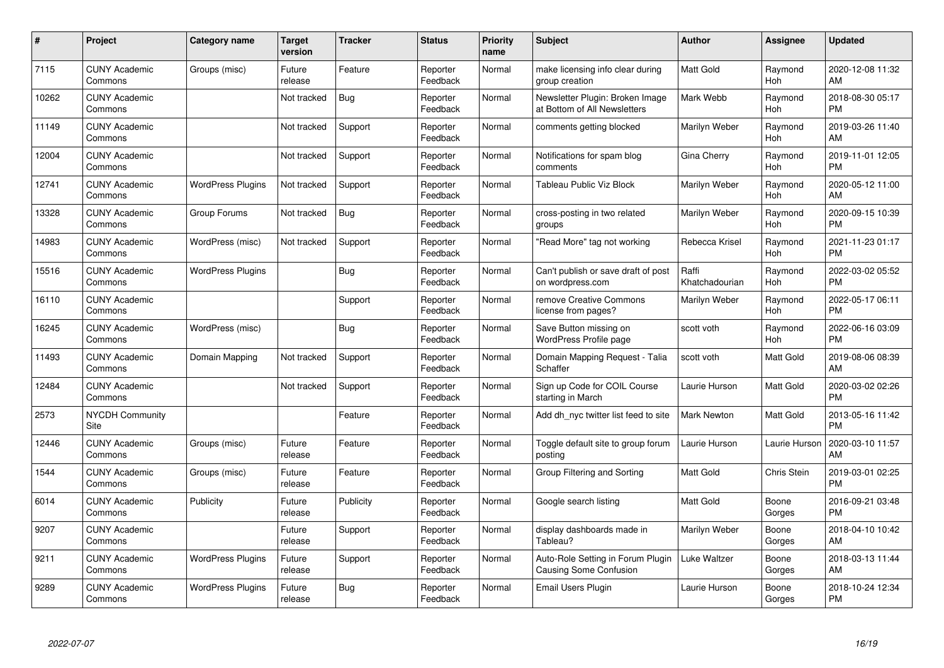| #     | <b>Project</b>                  | Category name            | <b>Target</b><br>version | <b>Tracker</b> | <b>Status</b>        | <b>Priority</b><br>name | <b>Subject</b>                                                     | <b>Author</b>           | <b>Assignee</b> | <b>Updated</b>                |
|-------|---------------------------------|--------------------------|--------------------------|----------------|----------------------|-------------------------|--------------------------------------------------------------------|-------------------------|-----------------|-------------------------------|
| 7115  | <b>CUNY Academic</b><br>Commons | Groups (misc)            | Future<br>release        | Feature        | Reporter<br>Feedback | Normal                  | make licensing info clear during<br>group creation                 | <b>Matt Gold</b>        | Raymond<br>Hoh  | 2020-12-08 11:32<br>AM        |
| 10262 | <b>CUNY Academic</b><br>Commons |                          | Not tracked              | <b>Bug</b>     | Reporter<br>Feedback | Normal                  | Newsletter Plugin: Broken Image<br>at Bottom of All Newsletters    | Mark Webb               | Raymond<br>Hoh  | 2018-08-30 05:17<br><b>PM</b> |
| 11149 | <b>CUNY Academic</b><br>Commons |                          | Not tracked              | Support        | Reporter<br>Feedback | Normal                  | comments getting blocked                                           | Marilyn Weber           | Raymond<br>Hoh  | 2019-03-26 11:40<br>AM        |
| 12004 | <b>CUNY Academic</b><br>Commons |                          | Not tracked              | Support        | Reporter<br>Feedback | Normal                  | Notifications for spam blog<br>comments                            | Gina Cherry             | Raymond<br>Hoh  | 2019-11-01 12:05<br><b>PM</b> |
| 12741 | <b>CUNY Academic</b><br>Commons | <b>WordPress Plugins</b> | Not tracked              | Support        | Reporter<br>Feedback | Normal                  | Tableau Public Viz Block                                           | Marilyn Weber           | Raymond<br>Hoh  | 2020-05-12 11:00<br>AM        |
| 13328 | <b>CUNY Academic</b><br>Commons | Group Forums             | Not tracked              | <b>Bug</b>     | Reporter<br>Feedback | Normal                  | cross-posting in two related<br>groups                             | Marilyn Weber           | Raymond<br>Hoh  | 2020-09-15 10:39<br><b>PM</b> |
| 14983 | <b>CUNY Academic</b><br>Commons | WordPress (misc)         | Not tracked              | Support        | Reporter<br>Feedback | Normal                  | "Read More" tag not working                                        | Rebecca Krisel          | Raymond<br>Hoh  | 2021-11-23 01:17<br><b>PM</b> |
| 15516 | <b>CUNY Academic</b><br>Commons | <b>WordPress Plugins</b> |                          | Bug            | Reporter<br>Feedback | Normal                  | Can't publish or save draft of post<br>on wordpress.com            | Raffi<br>Khatchadourian | Raymond<br>Hoh  | 2022-03-02 05:52<br><b>PM</b> |
| 16110 | <b>CUNY Academic</b><br>Commons |                          |                          | Support        | Reporter<br>Feedback | Normal                  | remove Creative Commons<br>license from pages?                     | Marilyn Weber           | Raymond<br>Hoh  | 2022-05-17 06:11<br><b>PM</b> |
| 16245 | <b>CUNY Academic</b><br>Commons | WordPress (misc)         |                          | <b>Bug</b>     | Reporter<br>Feedback | Normal                  | Save Button missing on<br><b>WordPress Profile page</b>            | scott voth              | Raymond<br>Hoh  | 2022-06-16 03:09<br><b>PM</b> |
| 11493 | <b>CUNY Academic</b><br>Commons | Domain Mapping           | Not tracked              | Support        | Reporter<br>Feedback | Normal                  | Domain Mapping Request - Talia<br>Schaffer                         | scott voth              | Matt Gold       | 2019-08-06 08:39<br>AM        |
| 12484 | <b>CUNY Academic</b><br>Commons |                          | Not tracked              | Support        | Reporter<br>Feedback | Normal                  | Sign up Code for COIL Course<br>starting in March                  | Laurie Hurson           | Matt Gold       | 2020-03-02 02:26<br><b>PM</b> |
| 2573  | <b>NYCDH Community</b><br>Site  |                          |                          | Feature        | Reporter<br>Feedback | Normal                  | Add dh nyc twitter list feed to site                               | Mark Newton             | Matt Gold       | 2013-05-16 11:42<br><b>PM</b> |
| 12446 | <b>CUNY Academic</b><br>Commons | Groups (misc)            | Future<br>release        | Feature        | Reporter<br>Feedback | Normal                  | Toggle default site to group forum<br>posting                      | Laurie Hurson           | Laurie Hurson   | 2020-03-10 11:57<br>AM        |
| 1544  | <b>CUNY Academic</b><br>Commons | Groups (misc)            | Future<br>release        | Feature        | Reporter<br>Feedback | Normal                  | Group Filtering and Sorting                                        | <b>Matt Gold</b>        | Chris Stein     | 2019-03-01 02:25<br><b>PM</b> |
| 6014  | <b>CUNY Academic</b><br>Commons | Publicity                | Future<br>release        | Publicity      | Reporter<br>Feedback | Normal                  | Google search listing                                              | <b>Matt Gold</b>        | Boone<br>Gorges | 2016-09-21 03:48<br><b>PM</b> |
| 9207  | <b>CUNY Academic</b><br>Commons |                          | Future<br>release        | Support        | Reporter<br>Feedback | Normal                  | display dashboards made in<br>Tableau?                             | Marilyn Weber           | Boone<br>Gorges | 2018-04-10 10:42<br>AM        |
| 9211  | <b>CUNY Academic</b><br>Commons | <b>WordPress Plugins</b> | Future<br>release        | Support        | Reporter<br>Feedback | Normal                  | Auto-Role Setting in Forum Plugin<br><b>Causing Some Confusion</b> | Luke Waltzer            | Boone<br>Gorges | 2018-03-13 11:44<br>AM        |
| 9289  | <b>CUNY Academic</b><br>Commons | <b>WordPress Plugins</b> | Future<br>release        | Bug            | Reporter<br>Feedback | Normal                  | Email Users Plugin                                                 | Laurie Hurson           | Boone<br>Gorges | 2018-10-24 12:34<br><b>PM</b> |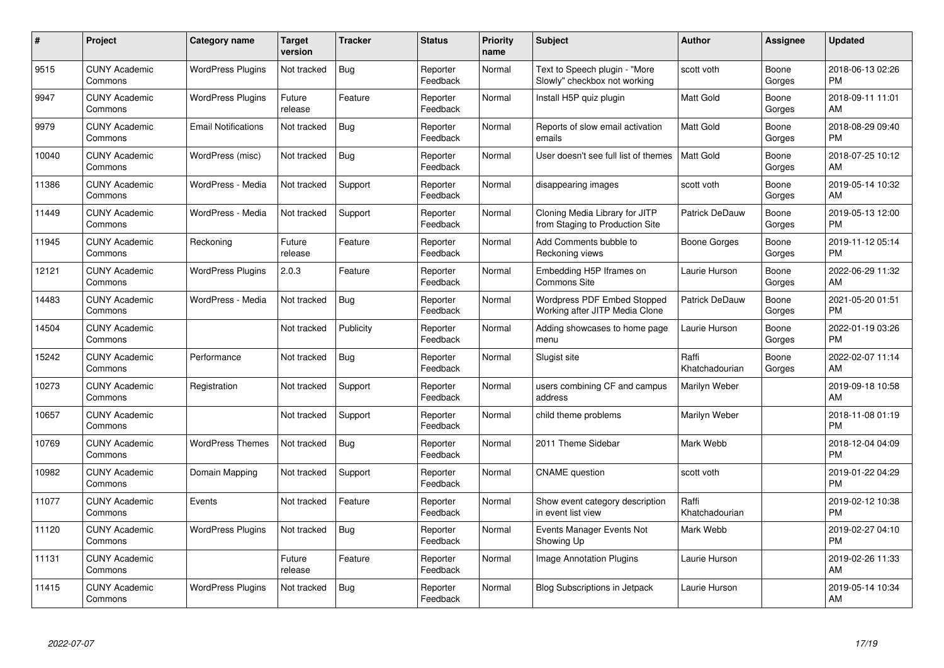| #     | Project                         | <b>Category name</b>       | <b>Target</b><br>version | <b>Tracker</b> | <b>Status</b>        | <b>Priority</b><br>name | <b>Subject</b>                                                    | <b>Author</b>           | <b>Assignee</b> | <b>Updated</b>                |
|-------|---------------------------------|----------------------------|--------------------------|----------------|----------------------|-------------------------|-------------------------------------------------------------------|-------------------------|-----------------|-------------------------------|
| 9515  | <b>CUNY Academic</b><br>Commons | <b>WordPress Plugins</b>   | Not tracked              | Bug            | Reporter<br>Feedback | Normal                  | Text to Speech plugin - "More<br>Slowly" checkbox not working     | scott voth              | Boone<br>Gorges | 2018-06-13 02:26<br><b>PM</b> |
| 9947  | <b>CUNY Academic</b><br>Commons | <b>WordPress Plugins</b>   | Future<br>release        | Feature        | Reporter<br>Feedback | Normal                  | Install H5P quiz plugin                                           | <b>Matt Gold</b>        | Boone<br>Gorges | 2018-09-11 11:01<br>AM        |
| 9979  | <b>CUNY Academic</b><br>Commons | <b>Email Notifications</b> | Not tracked              | <b>Bug</b>     | Reporter<br>Feedback | Normal                  | Reports of slow email activation<br>emails                        | <b>Matt Gold</b>        | Boone<br>Gorges | 2018-08-29 09:40<br>PM        |
| 10040 | <b>CUNY Academic</b><br>Commons | WordPress (misc)           | Not tracked              | <b>Bug</b>     | Reporter<br>Feedback | Normal                  | User doesn't see full list of themes                              | <b>Matt Gold</b>        | Boone<br>Gorges | 2018-07-25 10:12<br>AM        |
| 11386 | <b>CUNY Academic</b><br>Commons | WordPress - Media          | Not tracked              | Support        | Reporter<br>Feedback | Normal                  | disappearing images                                               | scott voth              | Boone<br>Gorges | 2019-05-14 10:32<br>AM        |
| 11449 | <b>CUNY Academic</b><br>Commons | WordPress - Media          | Not tracked              | Support        | Reporter<br>Feedback | Normal                  | Cloning Media Library for JITP<br>from Staging to Production Site | Patrick DeDauw          | Boone<br>Gorges | 2019-05-13 12:00<br>PM        |
| 11945 | <b>CUNY Academic</b><br>Commons | Reckoning                  | Future<br>release        | Feature        | Reporter<br>Feedback | Normal                  | Add Comments bubble to<br>Reckoning views                         | Boone Gorges            | Boone<br>Gorges | 2019-11-12 05:14<br><b>PM</b> |
| 12121 | <b>CUNY Academic</b><br>Commons | <b>WordPress Plugins</b>   | 2.0.3                    | Feature        | Reporter<br>Feedback | Normal                  | Embedding H5P Iframes on<br>Commons Site                          | Laurie Hurson           | Boone<br>Gorges | 2022-06-29 11:32<br>AM        |
| 14483 | <b>CUNY Academic</b><br>Commons | WordPress - Media          | Not tracked              | <b>Bug</b>     | Reporter<br>Feedback | Normal                  | Wordpress PDF Embed Stopped<br>Working after JITP Media Clone     | Patrick DeDauw          | Boone<br>Gorges | 2021-05-20 01:51<br>PM        |
| 14504 | <b>CUNY Academic</b><br>Commons |                            | Not tracked              | Publicity      | Reporter<br>Feedback | Normal                  | Adding showcases to home page<br>menu                             | Laurie Hurson           | Boone<br>Gorges | 2022-01-19 03:26<br>PM        |
| 15242 | <b>CUNY Academic</b><br>Commons | Performance                | Not tracked              | <b>Bug</b>     | Reporter<br>Feedback | Normal                  | Slugist site                                                      | Raffi<br>Khatchadourian | Boone<br>Gorges | 2022-02-07 11:14<br>AM        |
| 10273 | <b>CUNY Academic</b><br>Commons | Registration               | Not tracked              | Support        | Reporter<br>Feedback | Normal                  | users combining CF and campus<br>address                          | Marilyn Weber           |                 | 2019-09-18 10:58<br>AM        |
| 10657 | <b>CUNY Academic</b><br>Commons |                            | Not tracked              | Support        | Reporter<br>Feedback | Normal                  | child theme problems                                              | Marilyn Weber           |                 | 2018-11-08 01:19<br><b>PM</b> |
| 10769 | <b>CUNY Academic</b><br>Commons | <b>WordPress Themes</b>    | Not tracked              | Bug            | Reporter<br>Feedback | Normal                  | 2011 Theme Sidebar                                                | Mark Webb               |                 | 2018-12-04 04:09<br><b>PM</b> |
| 10982 | <b>CUNY Academic</b><br>Commons | Domain Mapping             | Not tracked              | Support        | Reporter<br>Feedback | Normal                  | <b>CNAME</b> question                                             | scott voth              |                 | 2019-01-22 04:29<br><b>PM</b> |
| 11077 | <b>CUNY Academic</b><br>Commons | Events                     | Not tracked              | Feature        | Reporter<br>Feedback | Normal                  | Show event category description<br>in event list view             | Raffi<br>Khatchadourian |                 | 2019-02-12 10:38<br><b>PM</b> |
| 11120 | <b>CUNY Academic</b><br>Commons | <b>WordPress Plugins</b>   | Not tracked              | Bug            | Reporter<br>Feedback | Normal                  | Events Manager Events Not<br>Showing Up                           | Mark Webb               |                 | 2019-02-27 04:10<br><b>PM</b> |
| 11131 | <b>CUNY Academic</b><br>Commons |                            | Future<br>release        | Feature        | Reporter<br>Feedback | Normal                  | <b>Image Annotation Plugins</b>                                   | Laurie Hurson           |                 | 2019-02-26 11:33<br>AM        |
| 11415 | <b>CUNY Academic</b><br>Commons | <b>WordPress Plugins</b>   | Not tracked              | <b>Bug</b>     | Reporter<br>Feedback | Normal                  | <b>Blog Subscriptions in Jetpack</b>                              | Laurie Hurson           |                 | 2019-05-14 10:34<br>AM        |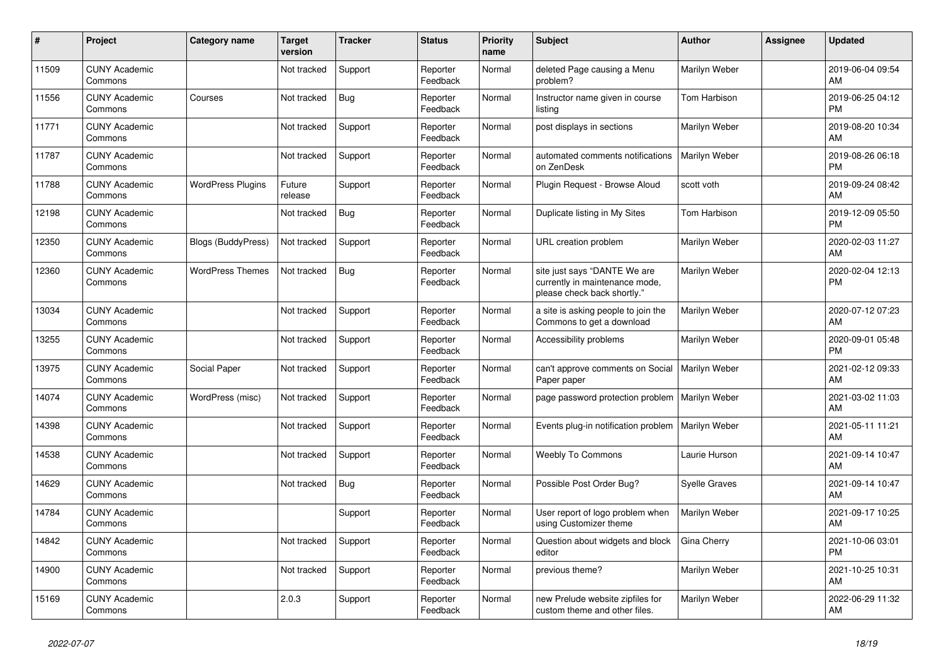| #     | Project                         | <b>Category name</b>      | <b>Target</b><br>version | <b>Tracker</b> | <b>Status</b>        | <b>Priority</b><br>name | <b>Subject</b>                                                                                | <b>Author</b>        | Assignee | <b>Updated</b>                |
|-------|---------------------------------|---------------------------|--------------------------|----------------|----------------------|-------------------------|-----------------------------------------------------------------------------------------------|----------------------|----------|-------------------------------|
| 11509 | <b>CUNY Academic</b><br>Commons |                           | Not tracked              | Support        | Reporter<br>Feedback | Normal                  | deleted Page causing a Menu<br>problem?                                                       | Marilyn Weber        |          | 2019-06-04 09:54<br>AM        |
| 11556 | <b>CUNY Academic</b><br>Commons | Courses                   | Not tracked              | Bug            | Reporter<br>Feedback | Normal                  | Instructor name given in course<br>listing                                                    | Tom Harbison         |          | 2019-06-25 04:12<br><b>PM</b> |
| 11771 | <b>CUNY Academic</b><br>Commons |                           | Not tracked              | Support        | Reporter<br>Feedback | Normal                  | post displays in sections                                                                     | Marilyn Weber        |          | 2019-08-20 10:34<br>AM        |
| 11787 | <b>CUNY Academic</b><br>Commons |                           | Not tracked              | Support        | Reporter<br>Feedback | Normal                  | automated comments notifications<br>on ZenDesk                                                | Marilyn Weber        |          | 2019-08-26 06:18<br><b>PM</b> |
| 11788 | <b>CUNY Academic</b><br>Commons | <b>WordPress Plugins</b>  | Future<br>release        | Support        | Reporter<br>Feedback | Normal                  | Plugin Request - Browse Aloud                                                                 | scott voth           |          | 2019-09-24 08:42<br>AM        |
| 12198 | <b>CUNY Academic</b><br>Commons |                           | Not tracked              | <b>Bug</b>     | Reporter<br>Feedback | Normal                  | Duplicate listing in My Sites                                                                 | Tom Harbison         |          | 2019-12-09 05:50<br><b>PM</b> |
| 12350 | <b>CUNY Academic</b><br>Commons | <b>Blogs (BuddyPress)</b> | Not tracked              | Support        | Reporter<br>Feedback | Normal                  | URL creation problem                                                                          | Marilyn Weber        |          | 2020-02-03 11:27<br>AM        |
| 12360 | <b>CUNY Academic</b><br>Commons | <b>WordPress Themes</b>   | Not tracked              | Bug            | Reporter<br>Feedback | Normal                  | site just says "DANTE We are<br>currently in maintenance mode,<br>please check back shortly." | Marilyn Weber        |          | 2020-02-04 12:13<br><b>PM</b> |
| 13034 | <b>CUNY Academic</b><br>Commons |                           | Not tracked              | Support        | Reporter<br>Feedback | Normal                  | a site is asking people to join the<br>Commons to get a download                              | Marilyn Weber        |          | 2020-07-12 07:23<br>AM        |
| 13255 | <b>CUNY Academic</b><br>Commons |                           | Not tracked              | Support        | Reporter<br>Feedback | Normal                  | Accessibility problems                                                                        | Marilyn Weber        |          | 2020-09-01 05:48<br><b>PM</b> |
| 13975 | <b>CUNY Academic</b><br>Commons | Social Paper              | Not tracked              | Support        | Reporter<br>Feedback | Normal                  | can't approve comments on Social<br>Paper paper                                               | Marilyn Weber        |          | 2021-02-12 09:33<br>AM        |
| 14074 | <b>CUNY Academic</b><br>Commons | WordPress (misc)          | Not tracked              | Support        | Reporter<br>Feedback | Normal                  | page password protection problem   Marilyn Weber                                              |                      |          | 2021-03-02 11:03<br>AM        |
| 14398 | <b>CUNY Academic</b><br>Commons |                           | Not tracked              | Support        | Reporter<br>Feedback | Normal                  | Events plug-in notification problem                                                           | Marilyn Weber        |          | 2021-05-11 11:21<br>AM        |
| 14538 | <b>CUNY Academic</b><br>Commons |                           | Not tracked              | Support        | Reporter<br>Feedback | Normal                  | <b>Weebly To Commons</b>                                                                      | Laurie Hurson        |          | 2021-09-14 10:47<br>AM        |
| 14629 | <b>CUNY Academic</b><br>Commons |                           | Not tracked              | Bug            | Reporter<br>Feedback | Normal                  | Possible Post Order Bug?                                                                      | <b>Syelle Graves</b> |          | 2021-09-14 10:47<br>AM        |
| 14784 | <b>CUNY Academic</b><br>Commons |                           |                          | Support        | Reporter<br>Feedback | Normal                  | User report of logo problem when<br>using Customizer theme                                    | Marilyn Weber        |          | 2021-09-17 10:25<br>AM        |
| 14842 | <b>CUNY Academic</b><br>Commons |                           | Not tracked              | Support        | Reporter<br>Feedback | Normal                  | Question about widgets and block<br>editor                                                    | Gina Cherry          |          | 2021-10-06 03:01<br><b>PM</b> |
| 14900 | <b>CUNY Academic</b><br>Commons |                           | Not tracked              | Support        | Reporter<br>Feedback | Normal                  | previous theme?                                                                               | Marilyn Weber        |          | 2021-10-25 10:31<br>AM        |
| 15169 | <b>CUNY Academic</b><br>Commons |                           | 2.0.3                    | Support        | Reporter<br>Feedback | Normal                  | new Prelude website zipfiles for<br>custom theme and other files.                             | Marilyn Weber        |          | 2022-06-29 11:32<br>AM        |